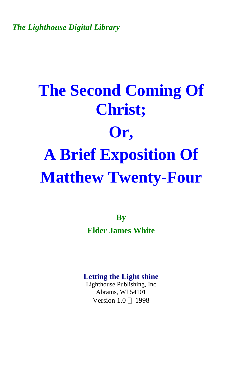*The Lighthouse Digital Library* 

# **The Second Coming Of Christ; Or, A Brief Exposition Of Matthew Twenty-Four**

**By Elder James White** 

#### **Letting the Light shine**

Lighthouse Publishing, Inc Abrams, WI 54101 Version  $1.0 \odot 1998$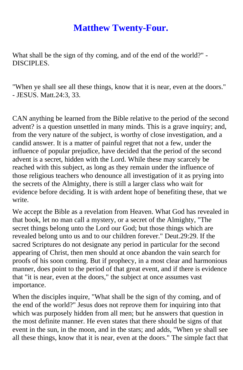# **Matthew Twenty-Four.**

What shall be the sign of thy coming, and of the end of the world?" - DISCIPLES.

"When ye shall see all these things, know that it is near, even at the doors." - JESUS. Matt.24:3, 33.

CAN anything be learned from the Bible relative to the period of the second advent? is a question unsettled in many minds. This is a grave inquiry; and, from the very nature of the subject, is worthy of close investigation, and a candid answer. It is a matter of painful regret that not a few, under the influence of popular prejudice, have decided that the period of the second advent is a secret, hidden with the Lord. While these may scarcely be reached with this subject, as long as they remain under the influence of those religious teachers who denounce all investigation of it as prying into the secrets of the Almighty, there is still a larger class who wait for evidence before deciding. It is with ardent hope of benefiting these, that we write.

We accept the Bible as a revelation from Heaven. What God has revealed in that book, let no man call a mystery, or a secret of the Almighty, "The secret things belong unto the Lord our God; but those things which are revealed belong unto us and to our children forever." Deut.29:29. If the sacred Scriptures do not designate any period in particular for the second appearing of Christ, then men should at once abandon the vain search for proofs of his soon coming. But if prophecy, in a most clear and harmonious manner, does point to the period of that great event, and if there is evidence that "it is near, even at the doors," the subject at once assumes vast importance.

When the disciples inquire, "What shall be the sign of thy coming, and of the end of the world?" Jesus does not reprove them for inquiring into that which was purposely hidden from all men; but he answers that question in the most definite manner. He even states that there should be signs of that event in the sun, in the moon, and in the stars; and adds, "When ye shall see all these things, know that it is near, even at the doors." The simple fact that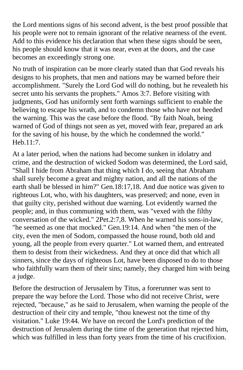the Lord mentions signs of his second advent, is the best proof possible that his people were not to remain ignorant of the relative nearness of the event. Add to this evidence his declaration that when these signs should be seen, his people should know that it was near, even at the doors, and the case becomes an exceedingly strong one.

No truth of inspiration can be more clearly stated than that God reveals his designs to his prophets, that men and nations may be warned before their accomplishment. "Surely the Lord God will do nothing, but he revealeth his secret unto his servants the prophets." Amos 3:7. Before visiting with judgments, God has uniformly sent forth warnings sufficient to enable the believing to escape his wrath, and to condemn those who have not heeded the warning. This was the case before the flood. "By faith Noah, being warned of God of things not seen as yet, moved with fear, prepared an ark for the saving of his house, by the which he condemned the world." Heb.11:7.

At a later period, when the nations had become sunken in idolatry and crime, and the destruction of wicked Sodom was determined, the Lord said, "Shall I hide from Abraham that thing which I do, seeing that Abraham shall surely become a great and mighty nation, and all the nations of the earth shall be blessed in him?" Gen.18:17,18. And due notice was given to righteous Lot, who, with his daughters, was preserved; and none, even in that guilty city, perished without due warning. Lot evidently warned the people; and, in thus communing with them, was "vexed with the filthy conversation of the wicked." 2Pet.2:7,8. When he warned his sons-in-law, "he seemed as one that mocked." Gen.19:14. And when "the men of the city, even the men of Sodom, compassed the house round, both old and young, all the people from every quarter." Lot warned them, and entreated them to desist from their wickedness. And they at once did that which all sinners, since the days of righteous Lot, have been disposed to do to those who faithfully warn them of their sins; namely, they charged him with being a judge.

Before the destruction of Jerusalem by Titus, a forerunner was sent to prepare the way before the Lord. Those who did not receive Christ, were rejected, "because," as he said to Jerusalem, when warning the people of the destruction of their city and temple, "thou knewest not the time of thy visitation." Luke 19:44. We have on record the Lord's prediction of the destruction of Jerusalem during the time of the generation that rejected him, which was fulfilled in less than forty years from the time of his crucifixion.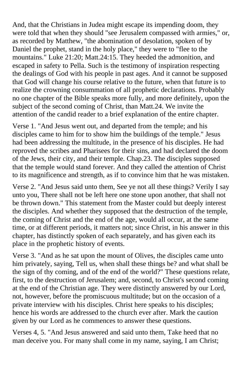And, that the Christians in Judea might escape its impending doom, they were told that when they should "see Jerusalem compassed with armies," or, as recorded by Matthew, "the abomination of desolation, spoken of by Daniel the prophet, stand in the holy place," they were to "flee to the mountains." Luke 21:20; Matt.24:15. They heeded the admonition, and escaped in safety to Pella. Such is the testimony of inspiration respecting the dealings of God with his people in past ages. And it cannot be supposed that God will change his course relative to the future, when that future is to realize the crowning consummation of all prophetic declarations. Probably no one chapter of the Bible speaks more fully, and more definitely, upon the subject of the second coming of Christ, than Matt.24. We invite the attention of the candid reader to a brief explanation of the entire chapter.

Verse 1. "And Jesus went out, and departed from the temple; and his disciples came to him for to show him the buildings of the temple." Jesus had been addressing the multitude, in the presence of his disciples. He had reproved the scribes and Pharisees for their sins, and had declared the doom of the Jews, their city, and their temple. Chap.23. The disciples supposed that the temple would stand forever. And they called the attention of Christ to its magnificence and strength, as if to convince him that he was mistaken.

Verse 2. "And Jesus said unto them, See ye not all these things? Verily I say unto you, There shall not be left here one stone upon another, that shall not be thrown down." This statement from the Master could but deeply interest the disciples. And whether they supposed that the destruction of the temple, the coming of Christ and the end of the age, would all occur, at the same time, or at different periods, it matters not; since Christ, in his answer in this chapter, has distinctly spoken of each separately, and has given each its place in the prophetic history of events.

Verse 3. "And as he sat upon the mount of Olives, the disciples came unto him privately, saying, Tell us, when shall these things be? and what shall be the sign of thy coming, and of the end of the world?" These questions relate, first, to the destruction of Jerusalem; and, second, to Christ's second coming at the end of the Christian age. They were distinctly answered by our Lord, not, however, before the promiscuous multitude; but on the occasion of a private interview with his disciples. Christ here speaks to his disciples; hence his words are addressed to the church ever after. Mark the caution given by our Lord as he commences to answer these questions.

Verses 4, 5. "And Jesus answered and said unto them, Take heed that no man deceive you. For many shall come in my name, saying, I am Christ;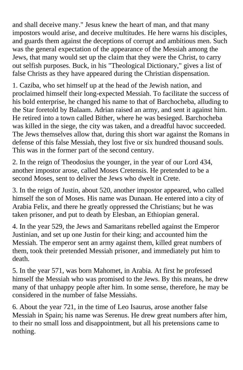and shall deceive many." Jesus knew the heart of man, and that many impostors would arise, and deceive multitudes. He here warns his disciples, and guards them against the deceptions of corrupt and ambitious men. Such was the general expectation of the appearance of the Messiah among the Jews, that many would set up the claim that they were the Christ, to carry out selfish purposes. Buck, in his "Theological Dictionary," gives a list of false Christs as they have appeared during the Christian dispensation.

1. Caziba, who set himself up at the head of the Jewish nation, and proclaimed himself their long-expected Messiah. To facilitate the success of his bold enterprise, he changed his name to that of Barchocheba, alluding to the Star foretold by Balaam. Adrian raised an army, and sent it against him. He retired into a town called Bither, where he was besieged. Barchocheba was killed in the siege, the city was taken, and a dreadful havoc succeeded. The Jews themselves allow that, during this short war against the Romans in defense of this false Messiah, they lost five or six hundred thousand souls. This was in the former part of the second century.

2. In the reign of Theodosius the younger, in the year of our Lord 434, another impostor arose, called Moses Cretensis. He pretended to be a second Moses, sent to deliver the Jews who dwelt in Crete.

3. In the reign of Justin, about 520, another impostor appeared, who called himself the son of Moses. His name was Dunaan. He entered into a city of Arabia Felix, and there he greatly oppressed the Christians; but he was taken prisoner, and put to death by Elesban, an Ethiopian general.

4. In the year 529, the Jews and Samaritans rebelled against the Emperor Justinian, and set up one Justin for their king; and accounted him the Messiah. The emperor sent an army against them, killed great numbers of them, took their pretended Messiah prisoner, and immediately put him to death.

5. In the year 571, was born Mahomet, in Arabia. At first he professed himself the Messiah who was promised to the Jews. By this means, he drew many of that unhappy people after him. In some sense, therefore, he may be considered in the number of false Messiahs.

6. About the year 721, in the time of Leo Isaurus, arose another false Messiah in Spain; his name was Serenus. He drew great numbers after him, to their no small loss and disappointment, but all his pretensions came to nothing.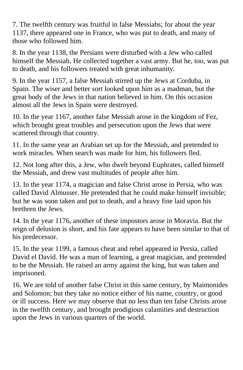7. The twelfth century was fruitful in false Messiahs; for about the year 1137, there appeared one in France, who was put to death, and many of those who followed him.

8. In the year 1138, the Persians were disturbed with a Jew who called himself the Messiah. He collected together a vast army. But he, too, was put to death, and his followers treated with great inhumanity.

9. In the year 1157, a false Messiah stirred up the Jews at Corduba, in Spain. The wiser and better sort looked upon him as a madman, but the great body of the Jews in that nation believed in him. On this occasion almost all the Jews in Spain were destroyed.

10. In the year 1167, another false Messiah arose in the kingdom of Fez, which brought great troubles and persecution upon the Jews that were scattered through that country.

11. In the same year an Arabian set up for the Messiah, and pretended to work miracles. When search was made for him, his followers fled.

12. Not long after this, a Jew, who dwelt beyond Euphrates, called himself the Messiah, and drew vast multitudes of people after him.

13. In the year 1174, a magician and false Christ arose in Persia, who was called David Almusser. He pretended that he could make himself invisible; but he was soon taken and put to death, and a heavy fine laid upon his brethren the Jews.

14. In the year 1176, another of these impostors arose in Moravia. But the reign of delusion is short, and his fate appears to have been similar to that of his predecessor.

15. In the year 1199, a famous cheat and rebel appeared in Persia, called David el David. He was a man of learning, a great magician, and pretended to be the Messiah. He raised an army against the king, but was taken and imprisoned.

16. We are told of another false Christ in this same century, by Maimonides and Solomon; but they take no notice either of his name, country, or good or ill success. Here we may observe that no less than ten false Christs arose in the twelfth century, and brought prodigious calamities and destruction upon the Jews in various quarters of the world.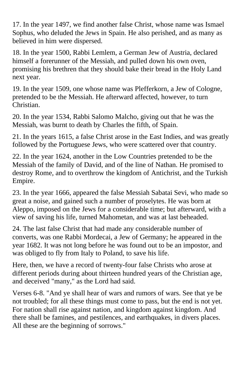17. In the year 1497, we find another false Christ, whose name was Ismael Sophus, who deluded the Jews in Spain. He also perished, and as many as believed in him were dispersed.

18. In the year 1500, Rabbi Lemlem, a German Jew of Austria, declared himself a forerunner of the Messiah, and pulled down his own oven, promising his brethren that they should bake their bread in the Holy Land next year.

19. In the year 1509, one whose name was Plefferkorn, a Jew of Cologne, pretended to be the Messiah. He afterward affected, however, to turn Christian.

20. In the year 1534, Rabbi Salomo Malcho, giving out that he was the Messiah, was burnt to death by Charles the fifth, of Spain.

21. In the years 1615, a false Christ arose in the East Indies, and was greatly followed by the Portuguese Jews, who were scattered over that country.

22. In the year 1624, another in the Low Countries pretended to be the Messiah of the family of David, and of the line of Nathan. He promised to destroy Rome, and to overthrow the kingdom of Antichrist, and the Turkish Empire.

23. In the year 1666, appeared the false Messiah Sabatai Sevi, who made so great a noise, and gained such a number of proselytes. He was born at Aleppo, imposed on the Jews for a considerable time; but afterward, with a view of saving his life, turned Mahometan, and was at last beheaded.

24. The last false Christ that had made any considerable number of converts, was one Rabbi Mordecai, a Jew of Germany; he appeared in the year 1682. It was not long before he was found out to be an impostor, and was obliged to fly from Italy to Poland, to save his life.

Here, then, we have a record of twenty-four false Christs who arose at different periods during about thirteen hundred years of the Christian age, and deceived "many," as the Lord had said.

Verses 6-8. "And ye shall hear of wars and rumors of wars. See that ye be not troubled; for all these things must come to pass, but the end is not yet. For nation shall rise against nation, and kingdom against kingdom. And there shall be famines, and pestilences, and earthquakes, in divers places. All these are the beginning of sorrows."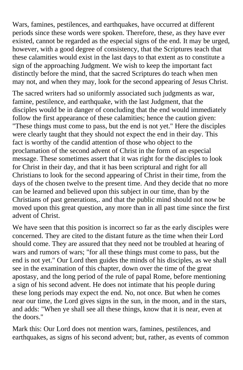Wars, famines, pestilences, and earthquakes, have occurred at different periods since these words were spoken. Therefore, these, as they have ever existed, cannot be regarded as the especial signs of the end. It may be urged, however, with a good degree of consistency, that the Scriptures teach that these calamities would exist in the last days to that extent as to constitute a sign of the approaching Judgment. We wish to keep the important fact distinctly before the mind, that the sacred Scriptures do teach when men may not, and when they may, look for the second appearing of Jesus Christ.

The sacred writers had so uniformly associated such judgments as war, famine, pestilence, and earthquake, with the last Judgment, that the disciples would be in danger of concluding that the end would immediately follow the first appearance of these calamities; hence the caution given: "These things must come to pass, but the end is not yet." Here the disciples were clearly taught that they should not expect the end in their day. This fact is worthy of the candid attention of those who object to the proclamation of the second advent of Christ in the form of an especial message. These sometimes assert that it was right for the disciples to look for Christ in their day, and that it has been scriptural and right for all Christians to look for the second appearing of Christ in their time, from the days of the chosen twelve to the present time. And they decide that no more can be learned and believed upon this subject in our time, than by the Christians of past generations,. and that the public mind should not now be moved upon this great question, any more than in all past time since the first advent of Christ.

We have seen that this position is incorrect so far as the early disciples were concerned. They are cited to the distant future as the time when their Lord should come. They are assured that they need not be troubled at hearing of wars and rumors of wars; "for all these things must come to pass, but the end is not yet." Our Lord then guides the minds of his disciples, as we shall see in the examination of this chapter, down over the time of the great apostasy, and the long period of the rule of papal Rome, before mentioning a sign of his second advent. He does not intimate that his people during these long periods may expect the end. No, not once. But when he comes near our time, the Lord gives signs in the sun, in the moon, and in the stars, and adds: "When ye shall see all these things, know that it is near, even at the doors."

Mark this: Our Lord does not mention wars, famines, pestilences, and earthquakes, as signs of his second advent; but, rather, as events of common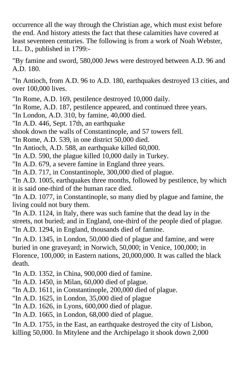occurrence all the way through the Christian age, which must exist before the end. And history attests the fact that these calamities have covered at least seventeen centuries. The following is from a work of Noah Webster, LL. D., published in 1799:-

"By famine and sword, 580,000 Jews were destroyed between A.D. 96 and A.D. 180.

"In Antioch, from A.D. 96 to A.D. 180, earthquakes destroyed 13 cities, and over 100,000 lives.

"In Rome, A.D. 169, pestilence destroyed 10,000 daily.

"In Rome, A.D. 187, pestilence appeared, and continued three years.

"In London, A.D. 310, by famine, 40,000 died.

"In A.D. 446, Sept. 17th, an earthquake

shook down the walls of Constantinople, and 57 towers fell.

"In Rome, A.D. 539, in one district 50,000 died.

"In Antioch, A.D. 588, an earthquake killed 60,000.

"In A.D. 590, the plague killed 10,000 daily in Turkey.

"In A.D. 679, a severe famine in England three years.

"In A.D. 717, in Constantinople, 300,000 died of plague.

"In A.D. 1005, earthquakes three months, followed by pestilence, by which it is said one-third of the human race died.

"In A.D. 1077, in Constantinople, so many died by plague and famine, the living could not bury them.

"In A.D. 1124, in Italy, there was such famine that the dead lay in the streets, not buried; and in England, one-third of the people died of plague. "In A.D. 1294, in England, thousands died of famine.

"In A.D. 1345, in London, 50,000 died of plague and famine, and were buried in one graveyard; in Norwich, 50,000; in Venice, 100,000; in Florence, 100,000; in Eastern nations, 20,000,000. It was called the black death.

"In A.D. 1352, in China, 900,000 died of famine.

"In A.D. 1450, in Milan, 60,000 died of plague.

"In A.D. 1611, in Constantinople, 200,000 died of plague.

"In A.D. 1625, in London, 35,000 died of plague

"In A.D. 1626, in Lyons, 600,000 died of plague.

"In A.D. 1665, in London, 68,000 died of plague.

"In A.D. 1755, in the East, an earthquake destroyed the city of Lisbon, killing 50,000. In Mitylene and the Archipelago it shook down 2,000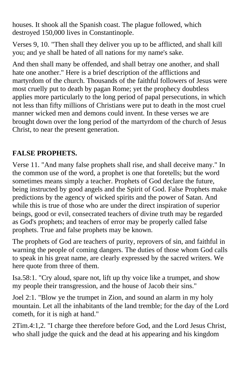houses. It shook all the Spanish coast. The plague followed, which destroyed 150,000 lives in Constantinople.

Verses 9, 10. "Then shall they deliver you up to be afflicted, and shall kill you; and ye shall be hated of all nations for my name's sake.

And then shall many be offended, and shall betray one another, and shall hate one another." Here is a brief description of the afflictions and martyrdom of the church. Thousands of the faithful followers of Jesus were most cruelly put to death by pagan Rome; yet the prophecy doubtless applies more particularly to the long period of papal persecutions, in which not less than fifty millions of Christians were put to death in the most cruel manner wicked men and demons could invent. In these verses we are brought down over the long period of the martyrdom of the church of Jesus Christ, to near the present generation.

## **FALSE PROPHETS.**

Verse 11. "And many false prophets shall rise, and shall deceive many." In the common use of the word, a prophet is one that foretells; but the word sometimes means simply a teacher. Prophets of God declare the future, being instructed by good angels and the Spirit of God. False Prophets make predictions by the agency of wicked spirits and the power of Satan. And while this is true of those who are under the direct inspiration of superior beings, good or evil, consecrated teachers of divine truth may be regarded as God's prophets; and teachers of error may be properly called false prophets. True and false prophets may be known.

The prophets of God are teachers of purity, reprovers of sin, and faithful in warning the people of coming dangers. The duties of those whom God calls to speak in his great name, are clearly expressed by the sacred writers. We here quote from three of them.

Isa.58:1. "Cry aloud, spare not, lift up thy voice like a trumpet, and show my people their transgression, and the house of Jacob their sins."

Joel 2:1. "Blow ye the trumpet in Zion, and sound an alarm in my holy mountain. Let all the inhabitants of the land tremble; for the day of the Lord cometh, for it is nigh at hand."

2Tim.4:1,2. "I charge thee therefore before God, and the Lord Jesus Christ, who shall judge the quick and the dead at his appearing and his kingdom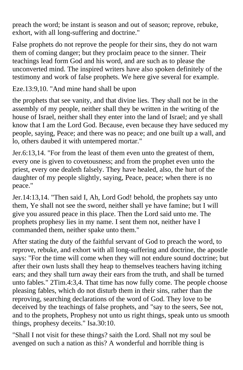preach the word; be instant is season and out of season; reprove, rebuke, exhort, with all long-suffering and doctrine."

False prophets do not reprove the people for their sins, they do not warn them of coming danger; but they proclaim peace to the sinner. Their teachings lead form God and his word, and are such as to please the unconverted mind. The inspired writers have also spoken definitely of the testimony and work of false prophets. We here give several for example.

Eze.13:9,10. "And mine hand shall be upon

the prophets that see vanity, and that divine lies. They shall not be in the assembly of my people, neither shall they be written in the writing of the house of Israel, neither shall they enter into the land of Israel; and ye shall know that I am the Lord God. Because, even because they have seduced my people, saying, Peace; and there was no peace; and one built up a wall, and lo, others daubed it with untempered mortar."

Jer.6:13,14. "For from the least of them even unto the greatest of them, every one is given to covetousness; and from the prophet even unto the priest, every one dealeth falsely. They have healed, also, the hurt of the daughter of my people slightly, saying, Peace, peace; when there is no peace."

Jer.14:13,14. "Then said I, Ah, Lord God! behold, the prophets say unto them, Ye shall not see the sword, neither shall ye have famine; but I will give you assured peace in this place. Then the Lord said unto me. The prophets prophesy lies in my name. I sent them not, neither have I commanded them, neither spake unto them."

After stating the duty of the faithful servant of God to preach the word, to reprove, rebuke, and exhort with all long-suffering and doctrine, the apostle says: "For the time will come when they will not endure sound doctrine; but after their own lusts shall they heap to themselves teachers having itching ears; and they shall turn away their ears from the truth, and shall be turned unto fables." 2Tim.4:3,4. That time has now fully come. The people choose pleasing fables, which do not disturb them in their sins, rather than the reproving, searching declarations of the word of God. They love to be deceived by the teachings of false prophets, and "say to the seers, See not, and to the prophets, Prophesy not unto us right things, speak unto us smooth things, prophesy deceits." Isa.30:10.

"Shall I not visit for these things? saith the Lord. Shall not my soul be avenged on such a nation as this? A wonderful and horrible thing is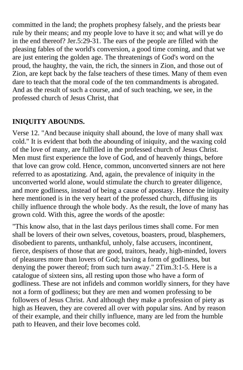committed in the land; the prophets prophesy falsely, and the priests bear rule by their means; and my people love to have it so; and what will ye do in the end thereof? Jer.5:29-31. The ears of the people are filled with the pleasing fables of the world's conversion, a good time coming, and that we are just entering the golden age. The threatenings of God's word on the proud, the haughty, the vain, the rich, the sinners in Zion, and those out of Zion, are kept back by the false teachers of these times. Many of them even dare to teach that the moral code of the ten commandments is abrogated. And as the result of such a course, and of such teaching, we see, in the professed church of Jesus Christ, that

## **INIQUITY ABOUNDS.**

Verse 12. "And because iniquity shall abound, the love of many shall wax cold." It is evident that both the abounding of iniquity, and the waxing cold of the love of many, are fulfilled in the professed church of Jesus Christ. Men must first experience the love of God, and of heavenly things, before that love can grow cold. Hence, common, unconverted sinners are not here referred to as apostatizing. And, again, the prevalence of iniquity in the unconverted world alone, would stimulate the church to greater diligence, and more godliness, instead of being a cause of apostasy. Hence the iniquity here mentioned is in the very heart of the professed church, diffusing its chilly influence through the whole body. As the result, the love of many has grown cold. With this, agree the words of the apostle:

"This know also, that in the last days perilous times shall come. For men shall be lovers of their own selves, covetous, boasters, proud, blasphemers, disobedient to parents, unthankful, unholy, false accusers, incontinent, fierce, despisers of those that are good, traitors, heady, high-minded, lovers of pleasures more than lovers of God; having a form of godliness, but denying the power thereof; from such turn away." 2Tim.3:1-5. Here is a catalogue of sixteen sins, all resting upon those who have a form of godliness. These are not infidels and common worldly sinners, for they have not a form of godliness; but they are men and women professing to be followers of Jesus Christ. And although they make a profession of piety as high as Heaven, they are covered all over with popular sins. And by reason of their example, and their chilly influence, many are led from the humble path to Heaven, and their love becomes cold.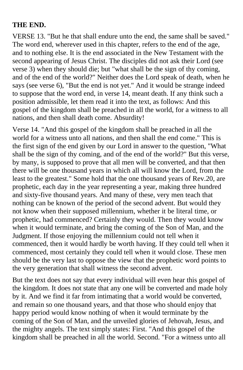#### **THE END.**

VERSE 13. "But he that shall endure unto the end, the same shall be saved." The word end, wherever used in this chapter, refers to the end of the age, and to nothing else. It is the end associated in the New Testament with the second appearing of Jesus Christ. The disciples did not ask their Lord (see verse 3) when they should die; but "what shall be the sign of thy coming, and of the end of the world?" Neither does the Lord speak of death, when he says (see verse 6), "But the end is not yet." And it would be strange indeed to suppose that the word end, in verse 14, meant death. If any think such a position admissible, let them read it into the text, as follows: And this gospel of the kingdom shall be preached in all the world, for a witness to all nations, and then shall death come. Absurdity!

Verse 14. "And this gospel of the kingdom shall be preached in all the world for a witness unto all nations, and then shall the end come." This is the first sign of the end given by our Lord in answer to the question, "What shall be the sign of thy coming, and of the end of the world?" But this verse, by many, is supposed to prove that all men will be converted, and that then there will be one thousand years in which all will know the Lord, from the least to the greatest." Some hold that the one thousand years of Rev.20, are prophetic, each day in the year representing a year, making three hundred and sixty-five thousand years. And many of these, very men teach that nothing can be known of the period of the second advent. But would they not know when their supposed millennium, whether it be literal time, or prophetic, had commenced? Certainly they would. Then they would know when it would terminate, and bring the coming of the Son of Man, and the Judgment. If those enjoying the millennium could not tell when it commenced, then it would hardly be worth having. If they could tell when it commenced, most certainly they could tell when it would close. These men should be the very last to oppose the view that the prophetic word points to the very generation that shall witness the second advent.

But the text does not say that every individual will even hear this gospel of the kingdom. It does not state that any one will be converted and made holy by it. And we find it far from intimating that a world would be converted, and remain so one thousand years, and that those who should enjoy that happy period would know nothing of when it would terminate by the coming of the Son of Man, and the unveiled glories of Jehovah, Jesus, and the mighty angels. The text simply states: First. "And this gospel of the kingdom shall be preached in all the world. Second. "For a witness unto all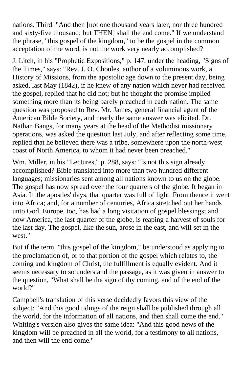nations. Third. "And then [not one thousand years later, nor three hundred and sixty-five thousand; but THEN] shall the end come." If we understand the phrase, "this gospel of the kingdom," to be the gospel in the common acceptation of the word, is not the work very nearly accomplished?

J. Litch, in his "Prophetic Expositions," p. 147, under the heading, "Signs of the Times," says: "Rev. J. O. Choules, author of a voluminous work, a History of Missions, from the apostolic age down to the present day, being asked, last May (1842), if he knew of any nation which never had received the gospel, replied that he did not; but he thought the promise implied something more than its being barely preached in each nation. The same question was proposed to Rev. Mr. James, general financial agent of the American Bible Society, and nearly the same answer was elicited. Dr. Nathan Bangs, for many years at the head of the Methodist missionary operations, was asked the question last July, and after reflecting some time, replied that he believed there was a tribe, somewhere upon the north-west coast of North America, to whom it had never been preached."

Wm. Miller, in his "Lectures," p. 288, says: "Is not this sign already accomplished? Bible translated into more than two hundred different languages; missionaries sent among all nations known to us on the globe. The gospel has now spread over the four quarters of the globe. It began in Asia. In the apostles' days, that quarter was full of light. From thence it went into Africa; and, for a number of centuries, Africa stretched out her hands unto God. Europe, too, has had a long visitation of gospel blessings; and now America, the last quarter of the globe, is reaping a harvest of souls for the last day. The gospel, like the sun, arose in the east, and will set in the west."

But if the term, "this gospel of the kingdom," be understood as applying to the proclamation of, or to that portion of the gospel which relates to, the coming and kingdom of Christ, the fulfillment is equally evident. And it seems necessary to so understand the passage, as it was given in answer to the question, "What shall be the sign of thy coming, and of the end of the world?"

Campbell's translation of this verse decidedly favors this view of the subject: "And this good tidings of the reign shall be published through all the world, for the information of all nations, and then shall come the end." Whiting's version also gives the same idea: "And this good news of the kingdom will be preached in all the world, for a testimony to all nations, and then will the end come."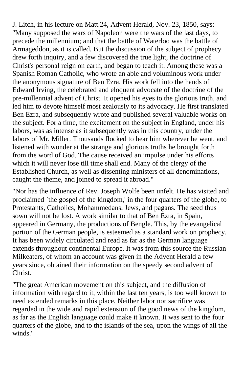J. Litch, in his lecture on Matt.24, Advent Herald, Nov. 23, 1850, says: "Many supposed the wars of Napoleon were the wars of the last days, to precede the millennium; and that the battle of Waterloo was the battle of Armageddon, as it is called. But the discussion of the subject of prophecy drew forth inquiry, and a few discovered the true light, the doctrine of Christ's personal reign on earth, and began to teach it. Among these was a Spanish Roman Catholic, who wrote an able and voluminous work under the anonymous signature of Ben Ezra. His work fell into the hands of Edward Irving, the celebrated and eloquent advocate of the doctrine of the pre-millennial advent of Christ. It opened his eyes to the glorious truth, and led him to devote himself most zealously to its advocacy. He first translated Ben Ezra, and subsequently wrote and published several valuable works on the subject. For a time, the excitement on the subject in England, under his labors, was as intense as it subsequently was in this country, under the labors of Mr. Miller. Thousands flocked to hear him wherever he went, and listened with wonder at the strange and glorious truths he brought forth from the word of God. The cause received an impulse under his efforts which it will never lose till time shall end. Many of the clergy of the Established Church, as well as dissenting ministers of all denominations, caught the theme, and joined to spread it abroad."

"Nor has the influence of Rev. Joseph Wolfe been unfelt. He has visited and proclaimed `the gospel of the kingdom,' in the four quarters of the globe, to Protestants, Catholics, Mohammedans, Jews, and pagans. The seed thus sown will not be lost. A work similar to that of Ben Ezra, in Spain, appeared in Germany, the productions of Bengle. This, by the evangelical portion of the German people, is esteemed as a standard work on prophecy. It has been widely circulated and read as far as the German language extends throughout continental Europe. It was from this source the Russian Milkeaters, of whom an account was given in the Advent Herald a few years since, obtained their information on the speedy second advent of Christ.

"The great American movement on this subject, and the diffusion of information with regard to it, within the last ten years, is too well known to need extended remarks in this place. Neither labor nor sacrifice was regarded in the wide and rapid extension of the good news of the kingdom, as far as the English language could make it known. It was sent to the four quarters of the globe, and to the islands of the sea, upon the wings of all the winds."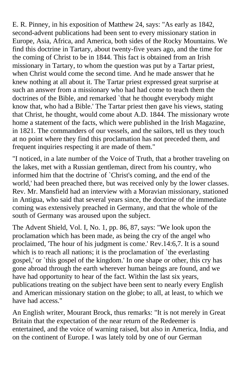E. R. Pinney, in his exposition of Matthew 24, says: "As early as 1842, second-advent publications had been sent to every missionary station in Europe, Asia, Africa, and America, both sides of the Rocky Mountains. We find this doctrine in Tartary, about twenty-five years ago, and the time for the coming of Christ to be in 1844. This fact is obtained from an Irish missionary in Tartary, to whom the question was put by a Tartar priest, when Christ would come the second time. And he made answer that he knew nothing at all about it. The Tartar priest expressed great surprise at such an answer from a missionary who had had come to teach them the doctrines of the Bible, and remarked `that he thought everybody might know that, who had a Bible.' The Tartar priest then gave his views, stating that Christ, he thought, would come about A.D. 1844. The missionary wrote home a statement of the facts, which were published in the Irish Magazine, in 1821. The commanders of our vessels, and the sailors, tell us they touch at no point where they find this proclamation has not preceded them, and frequent inquiries respecting it are made of them."

"I noticed, in a late number of the Voice of Truth, that a brother traveling on the lakes, met with a Russian gentleman, direct from his country, who informed him that the doctrine of `Christ's coming, and the end of the world,' had been preached there, but was received only by the lower classes. Rev. Mr. Mansfield had an interview with a Moravian missionary, stationed in Antigua, who said that several years since, the doctrine of the immediate coming was extensively preached in Germany, and that the whole of the south of Germany was aroused upon the subject.

The Advent Shield, Vol. I, No. 1, pp. 86, 87, says: "We look upon the proclamation which has been made, as being the cry of the angel who proclaimed, 'The hour of his judgment is come.' Rev.14:6,7. It is a sound which is to reach all nations; it is the proclamation of `the everlasting gospel,' or `this gospel of the kingdom.' In one shape or other, this cry has gone abroad through the earth wherever human beings are found, and we have had opportunity to hear of the fact. Within the last six years, publications treating on the subject have been sent to nearly every English and American missionary station on the globe; to all, at least, to which we have had access."

An English writer, Mourant Brock, thus remarks: "It is not merely in Great Britain that the expectation of the near return of the Redeemer is entertained, and the voice of warning raised, but also in America, India, and on the continent of Europe. I was lately told by one of our German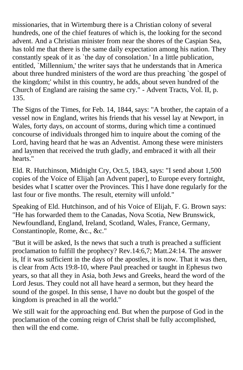missionaries, that in Wirtemburg there is a Christian colony of several hundreds, one of the chief features of which is, the looking for the second advent. And a Christian minister from near the shores of the Caspian Sea, has told me that there is the same daily expectation among his nation. They constantly speak of it as `the day of consolation.' In a little publication, entitled, `Millennium,' the writer says that he understands that in America about three hundred ministers of the word are thus preaching `the gospel of the kingdom;' whilst in this country, he adds, about seven hundred of the Church of England are raising the same cry." - Advent Tracts, Vol. II, p. 135.

The Signs of the Times, for Feb. 14, 1844, says: "A brother, the captain of a vessel now in England, writes his friends that his vessel lay at Newport, in Wales, forty days, on account of storms, during which time a continued concourse of individuals thronged him to inquire about the coming of the Lord, having heard that he was an Adventist. Among these were ministers and laymen that received the truth gladly, and embraced it with all their hearts."

Eld. R. Hutchinson, Midnight Cry, Oct.5, 1843, says: "I send about 1,500 copies of the Voice of Elijah [an Advent paper], to Europe every fortnight, besides what I scatter over the Provinces. This I have done regularly for the last four or five months. The result, eternity will unfold."

Speaking of Eld. Hutchinson, and of his Voice of Elijah, F. G. Brown says: "He has forwarded them to the Canadas, Nova Scotia, New Brunswick, Newfoundland, England, Ireland, Scotland, Wales, France, Germany, Constantinople, Rome, &c., &c."

"But it will be asked, Is the news that such a truth is preached a sufficient proclamation to fulfill the prophecy? Rev.14:6,7; Matt.24:14. The answer is, If it was sufficient in the days of the apostles, it is now. That it was then, is clear from Acts 19:8-10, where Paul preached or taught in Ephesus two years, so that all they in Asia, both Jews and Greeks, heard the word of the Lord Jesus. They could not all have heard a sermon, but they heard the sound of the gospel. In this sense, I have no doubt but the gospel of the kingdom is preached in all the world."

We still wait for the approaching end. But when the purpose of God in the proclamation of the coming reign of Christ shall be fully accomplished, then will the end come.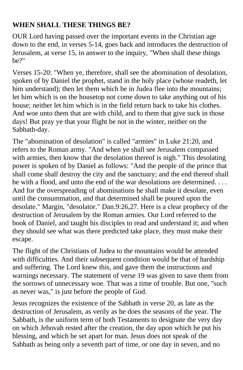## **WHEN SHALL THESE THINGS BE?**

OUR Lord having passed over the important events in the Christian age down to the end, in verses 5-14, goes back and introduces the destruction of Jerusalem, at verse 15, in answer to the inquiry, "When shall these things be?"

Verses 15-20: "When ye, therefore, shall see the abomination of desolation, spoken of by Daniel the prophet, stand in the holy place (whose readeth, let him understand); then let them which be in Judea flee into the mountains; let him which is on the housetop not come down to take anything out of his house; neither let him which is in the field return back to take his clothes. And woe unto them that are with child, and to them that give suck in those days! But pray ye that your flight be not in the winter, neither on the Sabbath-day.

The "abomination of desolation" is called "armies" in Luke 21:20, and refers to the Roman army. "And when ye shall see Jerusalem compassed with armies, then know that the desolation thereof is nigh." This desolating power is spoken of by Daniel as follows: "And the people of the prince that shall come shall destroy the city and the sanctuary; and the end thereof shall be with a flood, and unto the end of the war desolations are determined. . . . And for the overspreading of abominations he shall make it desolate, even until the consummation, and that determined shall be poured upon the desolate." Margin, "desolator." Dan.9:26,27. Here is a clear prophecy of the destruction of Jerusalem by the Roman armies. Our Lord referred to the book of Daniel, and taught his disciples to read and understand it; and when they should see what was there predicted take place, they must make their escape.

The flight of the Christians of Judea to the mountains would be attended with difficulties. And their subsequent condition would be that of hardship and suffering. The Lord knew this, and gave them the instructions and warnings necessary. The statement of verse 19 was given to save them from the sorrows of unnecessary woe. That was a time of trouble. But one, "such as never was," is just before the people of God.

Jesus recognizes the existence of the Sabbath in verse 20, as late as the destruction of Jerusalem, as verily as he does the seasons of the year. The Sabbath, is the uniform term of both Testaments to designate the very day on which Jehovah rested after the creation, the day upon which he put his blessing, and which he set apart for man. Jesus does not speak of the Sabbath as being only a seventh part of time, or one day in seven, and no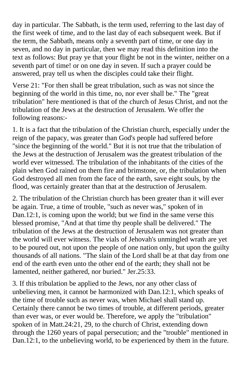day in particular. The Sabbath, is the term used, referring to the last day of the first week of time, and to the last day of each subsequent week. But if the term, the Sabbath, means only a seventh part of time, or one day in seven, and no day in particular, then we may read this definition into the text as follows: But pray ye that your flight be not in the winter, neither on a seventh part of time! or on one day in seven. If such a prayer could be answered, pray tell us when the disciples could take their flight.

Verse 21: "For then shall be great tribulation, such as was not since the beginning of the world in this time, no, nor ever shall be." The "great tribulation" here mentioned is that of the church of Jesus Christ, and not the tribulation of the Jews at the destruction of Jerusalem. We offer the following reasons:-

1. It is a fact that the tribulation of the Christian church, especially under the reign of the papacy, was greater than God's people had suffered before "since the beginning of the world." But it is not true that the tribulation of the Jews at the destruction of Jerusalem was the greatest tribulation of the world ever witnessed. The tribulation of the inhabitants of the cities of the plain when God rained on them fire and brimstone, or, the tribulation when God destroyed all men from the face of the earth, save eight souls, by the flood, was certainly greater than that at the destruction of Jerusalem.

2. The tribulation of the Christian church has been greater than it will ever be again. True, a time of trouble, "such as never was," spoken of in Dan.12:1, is coming upon the world; but we find in the same verse this blessed promise, "And at that time thy people shall be delivered." The tribulation of the Jews at the destruction of Jerusalem was not greater than the world will ever witness. The vials of Jehovah's unmingled wrath are yet to be poured out, not upon the people of one nation only, but upon the guilty thousands of all nations. "The slain of the Lord shall be at that day from one end of the earth even unto the other end of the earth; they shall not be lamented, neither gathered, nor buried." Jer.25:33.

3. If this tribulation be applied to the Jews, nor any other class of unbelieving men, it cannot be harmonized with Dan.12:1, which speaks of the time of trouble such as never was, when Michael shall stand up. Certainly there cannot be two times of trouble, at different periods, greater than ever was, or ever would be. Therefore, we apply the "tribulation" spoken of in Matt.24:21, 29, to the church of Christ, extending down through the 1260 years of papal persecution; and the "trouble" mentioned in Dan.12:1, to the unbelieving world, to be experienced by them in the future.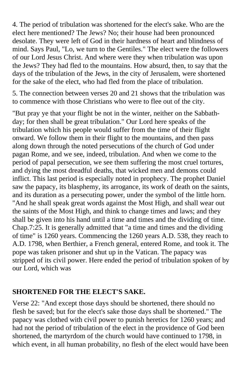4. The period of tribulation was shortened for the elect's sake. Who are the elect here mentioned? The Jews? No; their house had been pronounced desolate. They were left of God in their hardness of heart and blindness of mind. Says Paul, "Lo, we turn to the Gentiles." The elect were the followers of our Lord Jesus Christ. And where were they when tribulation was upon the Jews? They had fled to the mountains. How absurd, then, to say that the days of the tribulation of the Jews, in the city of Jerusalem, were shortened for the sake of the elect, who had fled from the place of tribulation.

5. The connection between verses 20 and 21 shows that the tribulation was to commence with those Christians who were to flee out of the city.

"But pray ye that your flight be not in the winter, neither on the Sabbathday; for then shall be great tribulation." Our Lord here speaks of the tribulation which his people would suffer from the time of their flight onward. We follow them in their flight to the mountains, and then pass along down through the noted persecutions of the church of God under pagan Rome, and we see, indeed, tribulation. And when we come to the period of papal persecution, we see them suffering the most cruel tortures, and dying the most dreadful deaths, that wicked men and demons could inflict. This last period is especially noted in prophecy. The prophet Daniel saw the papacy, its blasphemy, its arrogance, its work of death on the saints, and its duration as a persecuting power, under the symbol of the little horn. "And he shall speak great words against the Most High, and shall wear out the saints of the Most High, and think to change times and laws; and they shall be given into his hand until a time and times and the dividing of time. Chap.7:25. It is generally admitted that "a time and times and the dividing of time" is 1260 years. Commencing the 1260 years A.D. 538, they reach to A.D. 1798, when Berthier, a French general, entered Rome, and took it. The pope was taken prisoner and shut up in the Vatican. The papacy was stripped of its civil power. Here ended the period of tribulation spoken of by our Lord, which was

#### **SHORTENED FOR THE ELECT'S SAKE.**

Verse 22: "And except those days should be shortened, there should no flesh be saved; but for the elect's sake those days shall be shortened." The papacy was clothed with civil power to punish heretics for 1260 years; and had not the period of tribulation of the elect in the providence of God been shortened, the martyrdom of the church would have continued to 1798, in which event, in all human probability, no flesh of the elect would have been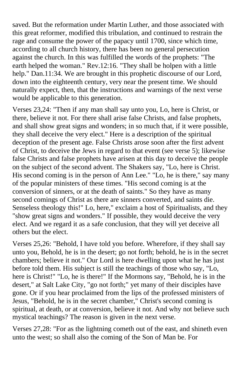saved. But the reformation under Martin Luther, and those associated with this great reformer, modified this tribulation, and continued to restrain the rage and consume the power of the papacy until 1700, since which time, according to all church history, there has been no general persecution against the church. In this was fulfilled the words of the prophets: "The earth helped the woman." Rev.12:16. "They shall be holpen with a little help." Dan.11:34. We are brought in this prophetic discourse of our Lord, down into the eighteenth century, very near the present time. We should naturally expect, then, that the instructions and warnings of the next verse would be applicable to this generation.

Verses 23,24: "Then if any man shall say unto you, Lo, here is Christ, or there, believe it not. For there shall arise false Christs, and false prophets, and shall show great signs and wonders; in so much that, if it were possible, they shall deceive the very elect." Here is a description of the spiritual deception of the present age. False Christs arose soon after the first advent of Christ, to deceive the Jews in regard to that event (see verse 5); likewise false Christs and false prophets have arisen at this day to deceive the people on the subject of the second advent. The Shakers say, "Lo, here is Christ. His second coming is in the person of Ann Lee." "Lo, he is there," say many of the popular ministers of these times. "His second coming is at the conversion of sinners, or at the death of saints." So they have as many second comings of Christ as there are sinners converted, and saints die. Senseless theology this!" Lo, here," exclaim a host of Spiritualists, and they "show great signs and wonders." If possible, they would deceive the very elect. And we regard it as a safe conclusion, that they will yet deceive all others but the elect.

Verses 25,26: "Behold, I have told you before. Wherefore, if they shall say unto you, Behold, he is in the desert; go not forth; behold, he is in the secret chambers; believe it not." Our Lord is here dwelling upon what he has just before told them. His subject is still the teachings of those who say, "Lo, here is Christ!" "Lo, he is there!" If the Mormons say, "Behold, he is in the desert," at Salt Lake City, "go not forth;" yet many of their disciples have gone. Or if you hear proclaimed from the lips of the professed ministers of Jesus, "Behold, he is in the secret chamber," Christ's second coming is spiritual, at death, or at conversion, believe it not. And why not believe such mystical teachings? The reason is given in the next verse.

Verses 27,28: "For as the lightning cometh out of the east, and shineth even unto the west; so shall also the coming of the Son of Man be. For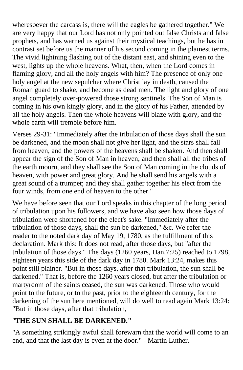wheresoever the carcass is, there will the eagles be gathered together." We are very happy that our Lord has not only pointed out false Christs and false prophets, and has warned us against their mystical teachings, but he has in contrast set before us the manner of his second coming in the plainest terms. The vivid lightning flashing out of the distant east, and shining even to the west, lights up the whole heavens. What, then, when the Lord comes in flaming glory, and all the holy angels with him? The presence of only one holy angel at the new sepulcher where Christ lay in death, caused the Roman guard to shake, and become as dead men. The light and glory of one angel completely over-powered those strong sentinels. The Son of Man is coming in his own kingly glory, and in the glory of his Father, attended by all the holy angels. Then the whole heavens will blaze with glory, and the whole earth will tremble before him.

Verses 29-31: "Immediately after the tribulation of those days shall the sun be darkened, and the moon shall not give her light, and the stars shall fall from heaven, and the powers of the heavens shall be shaken. And then shall appear the sign of the Son of Man in heaven; and then shall all the tribes of the earth mourn, and they shall see the Son of Man coming in the clouds of heaven, with power and great glory. And he shall send his angels with a great sound of a trumpet; and they shall gather together his elect from the four winds, from one end of heaven to the other."

We have before seen that our Lord speaks in this chapter of the long period of tribulation upon his followers, and we have also seen how those days of tribulation were shortened for the elect's sake. "Immediately after the tribulation of those days, shall the sun be darkened," &c. We refer the reader to the noted dark day of May 19, 1780, as the fulfillment of this declaration. Mark this: It does not read, after those days, but "after the tribulation of those days." The days (1260 years, Dan.7:25) reached to 1798, eighteen years this side of the dark day in 1780. Mark 13:24, makes this point still plainer. "But in those days, after that tribulation, the sun shall be darkened." That is, before the 1260 years closed, but after the tribulation or martyrdom of the saints ceased, the sun was darkened. Those who would point to the future, or to the past, prior to the eighteenth century, for the darkening of the sun here mentioned, will do well to read again Mark 13:24: "But in those days, after that tribulation,

## "**THE SUN SHALL BE DARKENED."**

"A something strikingly awful shall forewarn that the world will come to an end, and that the last day is even at the door." - Martin Luther.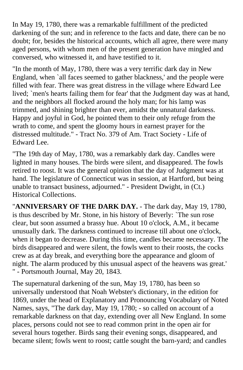In May 19, 1780, there was a remarkable fulfillment of the predicted darkening of the sun; and in reference to the facts and date, there can be no doubt; for, besides the historical accounts, which all agree, there were many aged persons, with whom men of the present generation have mingled and conversed, who witnessed it, and have testified to it.

"In the month of May, 1780, there was a very terrific dark day in New England, when `all faces seemed to gather blackness,' and the people were filled with fear. There was great distress in the village where Edward Lee lived; `men's hearts failing them for fear' that the Judgment day was at hand, and the neighbors all flocked around the holy man; for his lamp was trimmed, and shining brighter than ever, amidst the unnatural darkness. Happy and joyful in God, he pointed them to their only refuge from the wrath to come, and spent the gloomy hours in earnest prayer for the distressed multitude." - Tract No. 379 of Am. Tract Society - Life of Edward Lee.

"The 19th day of May, 1780, was a remarkably dark day. Candles were lighted in many houses. The birds were silent, and disappeared. The fowls retired to roost. It was the general opinion that the day of Judgment was at hand. The legislature of Connecticut was in session, at Hartford, but being unable to transact business, adjourned." - President Dwight, in (Ct.) Historical Collections.

"**ANNIVERSARY OF THE DARK DAY.** - The dark day, May 19, 1780, is thus described by Mr. Stone, in his history of Beverly: `The sun rose clear, but soon assumed a brassy hue. About 10 o'clock, A.M., it became unusually dark. The darkness continued to increase till about one o'clock, when it began to decrease. During this time, candles became necessary. The birds disappeared and were silent, the fowls went to their roosts, the cocks crew as at day break, and everything bore the appearance and gloom of night. The alarm produced by this unusual aspect of the heavens was great.' " - Portsmouth Journal, May 20, 1843.

The supernatural darkening of the sun, May 19, 1780, has been so universally understood that Noah Webster's dictionary, in the edition for 1869, under the head of Explanatory and Pronouncing Vocabulary of Noted Names, says, "The dark day, May 19, 1780; - so called on account of a remarkable darkness on that day, extending over all New England. In some places, persons could not see to read common print in the open air for several hours together. Birds sang their evening songs, disappeared, and became silent; fowls went to roost; cattle sought the barn-yard; and candles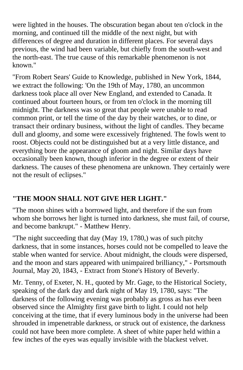were lighted in the houses. The obscuration began about ten o'clock in the morning, and continued till the middle of the next night, but with differences of degree and duration in different places. For several days previous, the wind had been variable, but chiefly from the south-west and the north-east. The true cause of this remarkable phenomenon is not known."

"From Robert Sears' Guide to Knowledge, published in New York, 1844, we extract the following: 'On the 19th of May, 1780, an uncommon darkness took place all over New England, and extended to Canada. It continued about fourteen hours, or from ten o'clock in the morning till midnight. The darkness was so great that people were unable to read common print, or tell the time of the day by their watches, or to dine, or transact their ordinary business, without the light of candles. They became dull and gloomy, and some were excessively frightened. The fowls went to roost. Objects could not be distinguished but at a very little distance, and everything bore the appearance of gloom and night. Similar days have occasionally been known, though inferior in the degree or extent of their darkness. The causes of these phenomena are unknown. They certainly were not the result of eclipses."

## **"THE MOON SHALL NOT GIVE HER LIGHT."**

"The moon shines with a borrowed light, and therefore if the sun from whom she borrows her light is turned into darkness, she must fail, of course, and become bankrupt." - Matthew Henry.

"The night succeeding that day (May 19, 1780,) was of such pitchy darkness, that in some instances, horses could not be compelled to leave the stable when wanted for service. About midnight, the clouds were dispersed, and the moon and stars appeared with unimpaired brilliancy," - Portsmouth Journal, May 20, 1843, - Extract from Stone's History of Beverly.

Mr. Tenny, of Exeter, N. H., quoted by Mr. Gage, to the Historical Society, speaking of the dark day and dark night of May 19, 1780, says: "The darkness of the following evening was probably as gross as has ever been observed since the Almighty first gave birth to light. I could not help conceiving at the time, that if every luminous body in the universe had been shrouded in impenetrable darkness, or struck out of existence, the darkness could not have been more complete. A sheet of white paper held within a few inches of the eyes was equally invisible with the blackest velvet.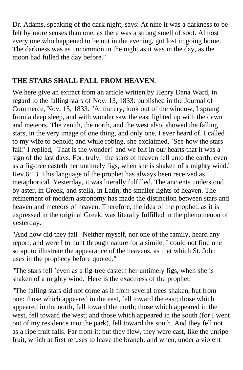Dr. Adams, speaking of the dark night, says: At nine it was a darkness to be felt by more senses than one, as there was a strong smell of soot. Almost every one who happened to be out in the evening, got lost in going home. The darkness was as uncommon in the night as it was in the day, as the moon had fulled the day before."

#### **THE STARS SHALL FALL FROM HEAVEN**.

We here give an extract from an article written by Henry Dana Ward, in regard to the falling stars of Nov. 13, 1833: published in the Journal of Commerce, Nov. 15, 1833. "At the cry, look out of the window, I sprang from a deep sleep, and with wonder saw the east lighted up with the dawn and meteors. The zenith, the north, and the west also, showed the falling stars, in the very image of one thing, and only one, I ever heard of. I called to my wife to behold; and while robing, she exclaimed, `See how the stars fall!' I replied, `That is the wonder!' and we felt in our hearts that it was a sign of the last days. For, truly, `the stars of heaven fell unto the earth, even as a fig-tree casteth her untimely figs, when she is shaken of a mighty wind.' Rev.6:13. This language of the prophet has always been received as metaphorical. Yesterday, it was literally fulfilled. The ancients understood by aster, in Greek, and stella, in Latin, the smaller lights of heaven. The refinement of modern astronomy has made the distinction between stars and heaven and meteors of heaven. Therefore, the idea of the prophet, as it is expressed in the original Greek, was literally fulfilled in the phenomenon of yesterday.

"And how did they fall? Neither myself, nor one of the family, heard any report; and were I to hunt through nature for a simile, I could not find one so apt to illustrate the appearance of the heavens, as that which St. John uses in the prophecy before quoted."

"The stars fell `even as a fig-tree casteth her untimely figs, when she is shaken of a mighty wind.' Here is the exactness of the prophet.

"The falling stars did not come as if from several trees shaken, but from one: those which appeared in the east, fell toward the east; those which appeared in the north, fell toward the north; those which appeared in the west, fell toward the west; and those which appeared in the south (for I went out of my residence into the park), fell toward the south. And they fell not as a ripe fruit falls. Far from it; but they flew, they were cast, like the unripe fruit, which at first refuses to leave the branch; and when, under a violent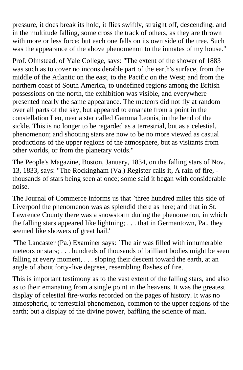pressure, it does break its hold, it flies swiftly, straight off, descending; and in the multitude falling, some cross the track of others, as they are thrown with more or less force; but each one falls on its own side of the tree. Such was the appearance of the above phenomenon to the inmates of my house."

Prof. Olmstead, of Yale College, says: "The extent of the shower of 1883 was such as to cover no inconsiderable part of the earth's surface, from the middle of the Atlantic on the east, to the Pacific on the West; and from the northern coast of South America, to undefined regions among the British possessions on the north, the exhibition was visible, and everywhere presented nearly the same appearance. The meteors did not fly at random over all parts of the sky, but appeared to emanate from a point in the constellation Leo, near a star called Gamma Leonis, in the bend of the sickle. This is no longer to be regarded as a terrestrial, but as a celestial, phenomenon; and shooting stars are now to be no more viewed as casual productions of the upper regions of the atmosphere, but as visitants from other worlds, or from the planetary voids."

The People's Magazine, Boston, January, 1834, on the falling stars of Nov. 13, 1833, says: "The Rockingham (Va.) Register calls it, A rain of fire, thousands of stars being seen at once; some said it began with considerable noise.

The Journal of Commerce informs us that `three hundred miles this side of Liverpool the phenomenon was as splendid there as here; and that in St. Lawrence County there was a snowstorm during the phenomenon, in which the falling stars appeared like lightning; . . . that in Germantown, Pa., they seemed like showers of great hail.'

"The Lancaster (Pa.) Examiner says: `The air was filled with innumerable meteors or stars; . . . hundreds of thousands of brilliant bodies might be seen falling at every moment, ... sloping their descent toward the earth, at an angle of about forty-five degrees, resembling flashes of fire.

This is important testimony as to the vast extent of the falling stars, and also as to their emanating from a single point in the heavens. It was the greatest display of celestial fire-works recorded on the pages of history. It was no atmospheric, or terrestrial phenomenon, common to the upper regions of the earth; but a display of the divine power, baffling the science of man.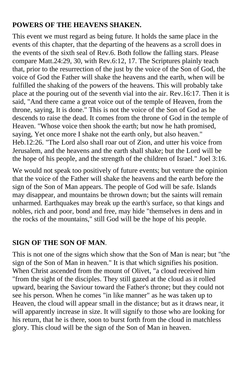#### **POWERS OF THE HEAVENS SHAKEN.**

This event we must regard as being future. It holds the same place in the events of this chapter, that the departing of the heavens as a scroll does in the events of the sixth seal of Rev.6. Both follow the falling stars. Please compare Matt.24:29, 30, with Rev.6:12, 17. The Scriptures plainly teach that, prior to the resurrection of the just by the voice of the Son of God, the voice of God the Father will shake the heavens and the earth, when will be fulfilled the shaking of the powers of the heavens. This will probably take place at the pouring out of the seventh vial into the air. Rev.16:17. Then it is said, "And there came a great voice out of the temple of Heaven, from the throne, saying, It is done." This is not the voice of the Son of God as he descends to raise the dead. It comes from the throne of God in the temple of Heaven. "Whose voice then shook the earth; but now he hath promised, saying, Yet once more I shake not the earth only, but also heaven." Heb.12:26. "The Lord also shall roar out of Zion, and utter his voice from Jerusalem, and the heavens and the earth shall shake; but the Lord will be the hope of his people, and the strength of the children of Israel." Joel 3:16.

We would not speak too positively of future events; but venture the opinion that the voice of the Father will shake the heavens and the earth before the sign of the Son of Man appears. The people of God will be safe. Islands may disappear, and mountains be thrown down; but the saints will remain unharmed. Earthquakes may break up the earth's surface, so that kings and nobles, rich and poor, bond and free, may hide "themselves in dens and in the rocks of the mountains," still God will be the hope of his people.

#### **SIGN OF THE SON OF MAN**.

This is not one of the signs which show that the Son of Man is near; but "the sign of the Son of Man in heaven." It is that which signifies his position. When Christ ascended from the mount of Olivet, "a cloud received him "from the sight of the disciples. They still gazed at the cloud as it rolled upward, bearing the Saviour toward the Father's throne; but they could not see his person. When he comes "in like manner" as he was taken up to Heaven, the cloud will appear small in the distance; but as it draws near, it will apparently increase in size. It will signify to those who are looking for his return, that he is there, soon to burst forth from the cloud in matchless glory. This cloud will be the sign of the Son of Man in heaven.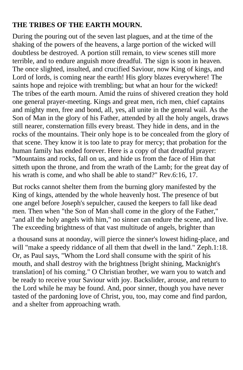#### **THE TRIBES OF THE EARTH MOURN.**

During the pouring out of the seven last plagues, and at the time of the shaking of the powers of the heavens, a large portion of the wicked will doubtless be destroyed. A portion still remain, to view scenes still more terrible, and to endure anguish more dreadful. The sign is soon in heaven. The once slighted, insulted, and crucified Saviour, now King of kings, and Lord of lords, is coming near the earth! His glory blazes everywhere! The saints hope and rejoice with trembling; but what an hour for the wicked! The tribes of the earth mourn. Amid the ruins of shivered creation they hold one general prayer-meeting. Kings and great men, rich men, chief captains and mighty men, free and bond, all, yes, all unite in the general wail. As the Son of Man in the glory of his Father, attended by all the holy angels, draws still nearer, consternation fills every breast. They hide in dens, and in the rocks of the mountains. Their only hope is to be concealed from the glory of that scene. They know it is too late to pray for mercy; that probation for the human family has ended forever. Here is a copy of that dreadful prayer: "Mountains and rocks, fall on us, and hide us from the face of Him that sitteth upon the throne, and from the wrath of the Lamb; for the great day of his wrath is come, and who shall be able to stand?" Rev.6:16, 17.

But rocks cannot shelter them from the burning glory manifested by the King of kings, attended by the whole heavenly host. The presence of but one angel before Joseph's sepulcher, caused the keepers to fall like dead men. Then when "the Son of Man shall come in the glory of the Father," "and all the holy angels with him," no sinner can endure the scene, and live. The exceeding brightness of that vast multitude of angels, brighter than

a thousand suns at noonday, will pierce the sinner's lowest hiding-place, and will "make a speedy riddance of all them that dwell in the land." Zeph.1:18. Or, as Paul says, "Whom the Lord shall consume with the spirit of his mouth, and shall destroy with the brightness [bright shining, Macknight's translation] of his coming." O Christian brother, we warn you to watch and be ready to receive your Saviour with joy. Backslider, arouse, and return to the Lord while he may be found. And, poor sinner, though you have never tasted of the pardoning love of Christ, you, too, may come and find pardon, and a shelter from approaching wrath.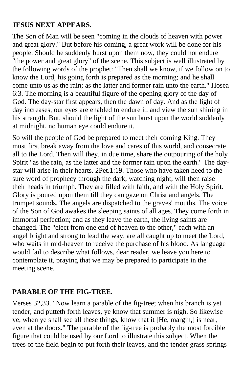#### **JESUS NEXT APPEARS.**

The Son of Man will be seen "coming in the clouds of heaven with power and great glory." But before his coming, a great work will be done for his people. Should he suddenly burst upon them now, they could not endure "the power and great glory" of the scene. This subject is well illustrated by the following words of the prophet: "Then shall we know, if we follow on to know the Lord, his going forth is prepared as the morning; and he shall come unto us as the rain; as the latter and former rain unto the earth." Hosea 6:3. The morning is a beautiful figure of the opening glory of the day of God. The day-star first appears, then the dawn of day. And as the light of day increases, our eyes are enabled to endure it, and view the sun shining in his strength. But, should the light of the sun burst upon the world suddenly at midnight, no human eye could endure it.

So will the people of God be prepared to meet their coming King. They must first break away from the love and cares of this world, and consecrate all to the Lord. Then will they, in due time, share the outpouring of the holy Spirit "as the rain, as the latter and the former rain upon the earth." The daystar will arise in their hearts. 2Pet.1:19. Those who have taken heed to the sure word of prophecy through the dark, watching night, will then raise their heads in triumph. They are filled with faith, and with the Holy Spirit. Glory is poured upon them till they can gaze on Christ and angels. The trumpet sounds. The angels are dispatched to the graves' mouths. The voice of the Son of God awakes the sleeping saints of all ages. They come forth in immortal perfection; and as they leave the earth, the living saints are changed. The "elect from one end of heaven to the other," each with an angel bright and strong to lead the way, are all caught up to meet the Lord, who waits in mid-heaven to receive the purchase of his blood. As language would fail to describe what follows, dear reader, we leave you here to contemplate it, praying that we may be prepared to participate in the meeting scene.

## **PARABLE OF THE FIG-TREE.**

Verses 32,33. "Now learn a parable of the fig-tree; when his branch is yet tender, and putteth forth leaves, ye know that summer is nigh. So likewise ye, when ye shall see all these things, know that it [He, margin,] is near, even at the doors." The parable of the fig-tree is probably the most forcible figure that could be used by our Lord to illustrate this subject. When the trees of the field begin to put forth their leaves, and the tender grass springs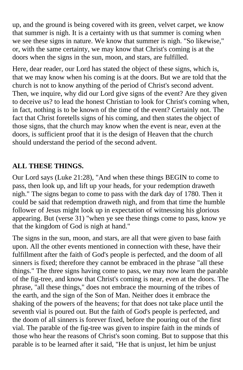up, and the ground is being covered with its green, velvet carpet, we know that summer is nigh. It is a certainty with us that summer is coming when we see these signs in nature. We know that summer is nigh. "So likewise," or, with the same certainty, we may know that Christ's coming is at the doors when the signs in the sun, moon, and stars, are fulfilled.

Here, dear reader, our Lord has stated the object of these signs, which is, that we may know when his coming is at the doors. But we are told that the church is not to know anything of the period of Christ's second advent. Then, we inquire, why did our Lord give signs of the event? Are they given to deceive us? to lead the honest Christian to look for Christ's coming when, in fact, nothing is to be known of the time of the event? Certainly not. The fact that Christ foretells signs of his coming, and then states the object of those signs, that the church may know when the event is near, even at the doors, is sufficient proof that it is the design of Heaven that the church should understand the period of the second advent.

## **ALL THESE THINGS.**

Our Lord says (Luke 21:28), "And when these things BEGIN to come to pass, then look up, and lift up your heads, for your redemption draweth nigh." The signs began to come to pass with the dark day of 1780. Then it could be said that redemption draweth nigh, and from that time the humble follower of Jesus might look up in expectation of witnessing his glorious appearing. But (verse 31) "when ye see these things come to pass, know ye that the kingdom of God is nigh at hand."

The signs in the sun, moon, and stars, are all that were given to base faith upon. All the other events mentioned in connection with these, have their fulfillment after the faith of God's people is perfected, and the doom of all sinners is fixed; therefore they cannot be embraced in the phrase "all these things." The three signs having come to pass, we may now learn the parable of the fig-tree, and know that Christ's coming is near, even at the doors. The phrase, "all these things," does not embrace the mourning of the tribes of the earth, and the sign of the Son of Man. Neither does it embrace the shaking of the powers of the heavens; for that does not take place until the seventh vial is poured out. But the faith of God's people is perfected, and the doom of all sinners is forever fixed, before the pouring out of the first vial. The parable of the fig-tree was given to inspire faith in the minds of those who hear the reasons of Christ's soon coming. But to suppose that this parable is to be learned after it said, "He that is unjust, let him be unjust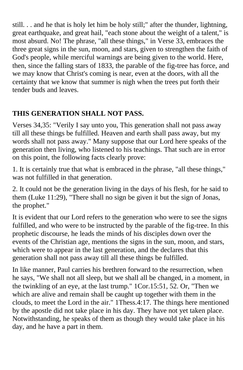still. . . and he that is holy let him be holy still;" after the thunder, lightning, great earthquake, and great hail, "each stone about the weight of a talent," is most absurd. No! The phrase, "all these things," in Verse 33, embraces the three great signs in the sun, moon, and stars, given to strengthen the faith of God's people, while merciful warnings are being given to the world. Here, then, since the falling stars of 1833, the parable of the fig-tree has force, and we may know that Christ's coming is near, even at the doors, with all the certainty that we know that summer is nigh when the trees put forth their tender buds and leaves.

## **THIS GENERATION SHALL NOT PASS.**

Verses 34,35: "Verily I say unto you, This generation shall not pass away till all these things be fulfilled. Heaven and earth shall pass away, but my words shall not pass away." Many suppose that our Lord here speaks of the generation then living, who listened to his teachings. That such are in error on this point, the following facts clearly prove:

1. It is certainly true that what is embraced in the phrase, "all these things," was not fulfilled in that generation.

2. It could not be the generation living in the days of his flesh, for he said to them (Luke 11:29), "There shall no sign be given it but the sign of Jonas, the prophet."

It is evident that our Lord refers to the generation who were to see the signs fulfilled, and who were to be instructed by the parable of the fig-tree. In this prophetic discourse, he leads the minds of his disciples down over the events of the Christian age, mentions the signs in the sun, moon, and stars, which were to appear in the last generation, and the declares that this generation shall not pass away till all these things be fulfilled.

In like manner, Paul carries his brethren forward to the resurrection, when he says, "We shall not all sleep, but we shall all be changed, in a moment, in the twinkling of an eye, at the last trump." 1Cor.15:51, 52. Or, "Then we which are alive and remain shall be caught up together with them in the clouds, to meet the Lord in the air." 1Thess.4:17. The things here mentioned by the apostle did not take place in his day. They have not yet taken place. Notwithstanding, he speaks of them as though they would take place in his day, and he have a part in them.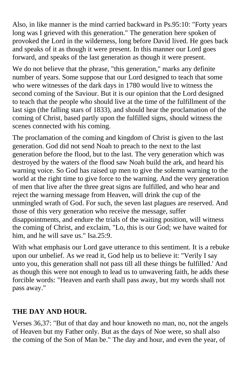Also, in like manner is the mind carried backward in Ps.95:10: "Forty years long was I grieved with this generation." The generation here spoken of provoked the Lord in the wilderness, long before David lived. He goes back and speaks of it as though it were present. In this manner our Lord goes forward, and speaks of the last generation as though it were present.

We do not believe that the phrase, "this generation," marks any definite number of years. Some suppose that our Lord designed to teach that some who were witnesses of the dark days in 1780 would live to witness the second coming of the Saviour. But it is our opinion that the Lord designed to teach that the people who should live at the time of the fulfillment of the last sign (the falling stars of 1833), and should hear the proclamation of the coming of Christ, based partly upon the fulfilled signs, should witness the scenes connected with his coming.

The proclamation of the coming and kingdom of Christ is given to the last generation. God did not send Noah to preach to the next to the last generation before the flood, but to the last. The very generation which was destroyed by the waters of the flood saw Noah build the ark, and heard his warning voice. So God has raised up men to give the solemn warning to the world at the right time to give force to the warning. And the very generation of men that live after the three great signs are fulfilled, and who hear and reject the warning message from Heaven, will drink the cup of the unmingled wrath of God. For such, the seven last plagues are reserved. And those of this very generation who receive the message, suffer disappointments, and endure the trials of the waiting position, will witness the coming of Christ, and exclaim, "Lo, this is our God; we have waited for him, and he will save us." Isa. 25:9.

With what emphasis our Lord gave utterance to this sentiment. It is a rebuke upon our unbelief. As we read it, God help us to believe it: "Verily I say unto you, this generation shall not pass till all these things be fulfilled.' And as though this were not enough to lead us to unwavering faith, he adds these forcible words: "Heaven and earth shall pass away, but my words shall not pass away."

## **THE DAY AND HOUR.**

Verses 36,37: "But of that day and hour knoweth no man, no, not the angels of Heaven but my Father only. But as the days of Noe were, so shall also the coming of the Son of Man be." The day and hour, and even the year, of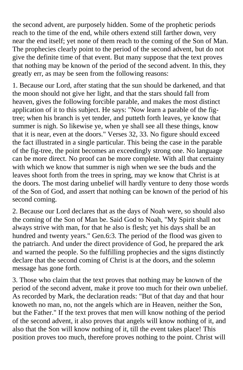the second advent, are purposely hidden. Some of the prophetic periods reach to the time of the end, while others extend still farther down, very near the end itself; yet none of them reach to the coming of the Son of Man. The prophecies clearly point to the period of the second advent, but do not give the definite time of that event. But many suppose that the text proves that nothing may be known of the period of the second advent. In this, they greatly err, as may be seen from the following reasons:

1. Because our Lord, after stating that the sun should be darkened, and that the moon should not give her light, and that the stars should fall from heaven, gives the following forcible parable, and makes the most distinct application of it to this subject. He says: "Now learn a parable of the figtree; when his branch is yet tender, and putteth forth leaves, ye know that summer is nigh. So likewise ye, when ye shall see all these things, know that it is near, even at the doors." Verses 32, 33. No figure should exceed the fact illustrated in a single particular. This being the case in the parable of the fig-tree, the point becomes an exceedingly strong one. No language can be more direct. No proof can be more complete. With all that certainty with which we know that summer is nigh when we see the buds and the leaves shoot forth from the trees in spring, may we know that Christ is at the doors. The most daring unbelief will hardly venture to deny those words of the Son of God, and assert that nothing can be known of the period of his second coming.

2. Because our Lord declares that as the days of Noah were, so should also the coming of the Son of Man be. Said God to Noah, "My Spirit shall not always strive with man, for that he also is flesh; yet his days shall be an hundred and twenty years." Gen.6:3. The period of the flood was given to the patriarch. And under the direct providence of God, he prepared the ark and warned the people. So the fulfilling prophecies and the signs distinctly declare that the second coming of Christ is at the doors, and the solemn message has gone forth.

3. Those who claim that the text proves that nothing may be known of the period of the second advent, make it prove too much for their own unbelief. As recorded by Mark, the declaration reads: "But of that day and that hour knoweth no man, no, not the angels which are in Heaven, neither the Son, but the Father." If the text proves that men will know nothing of the period of the second advent, it also proves that angels will know nothing of it, and also that the Son will know nothing of it, till the event takes place! This position proves too much, therefore proves nothing to the point. Christ will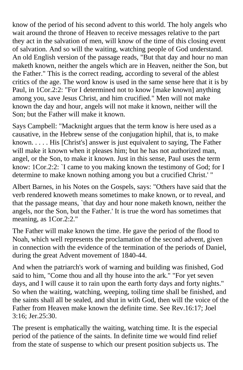know of the period of his second advent to this world. The holy angels who wait around the throne of Heaven to receive messages relative to the part they act in the salvation of men, will know of the time of this closing event of salvation. And so will the waiting, watching people of God understand. An old English version of the passage reads, "But that day and hour no man maketh known, neither the angels which are in Heaven, neither the Son, but the Father." This is the correct reading, according to several of the ablest critics of the age. The word know is used in the same sense here that it is by Paul, in 1Cor.2:2: "For I determined not to know [make known] anything among you, save Jesus Christ, and him crucified." Men will not make known the day and hour, angels will not make it known, neither will the Son; but the Father will make it known.

Says Campbell: "Macknight argues that the term know is here used as a causative, in the Hebrew sense of the conjugation hiphil, that is, to make known. . . . . His [Christ's] answer is just equivalent to saying, The Father will make it known when it pleases him; but he has not authorized man, angel, or the Son, to make it known. Just in this sense, Paul uses the term know: 1Cor.2:2: `I came to you making known the testimony of God; for I determine to make known nothing among you but a crucified Christ.' "

Albert Barnes, in his Notes on the Gospels, says: "Others have said that the verb rendered knoweth means sometimes to make known, or to reveal, and that the passage means, `that day and hour none maketh known, neither the angels, nor the Son, but the Father.' It is true the word has sometimes that meaning, as 1Cor.2:2."

The Father will make known the time. He gave the period of the flood to Noah, which well represents the proclamation of the second advent, given in connection with the evidence of the termination of the periods of Daniel, during the great Advent movement of 1840-44.

And when the patriarch's work of warning and building was finished, God said to him, "Come thou and all thy house into the ark." "For yet seven days, and I will cause it to rain upon the earth forty days and forty nights." So when the waiting, watching, weeping, toiling time shall be finished, and the saints shall all be sealed, and shut in with God, then will the voice of the Father from Heaven make known the definite time. See Rev.16:17; Joel 3:16; Jer.25:30.

The present is emphatically the waiting, watching time. It is the especial period of the patience of the saints. In definite time we would find relief from the state of suspense to which our present position subjects us. The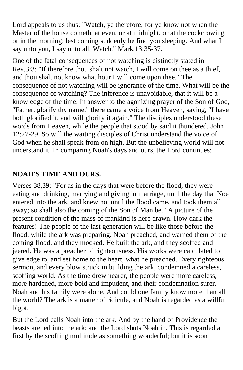Lord appeals to us thus: "Watch, ye therefore; for ye know not when the Master of the house cometh, at even, or at midnight, or at the cockcrowing, or in the morning; lest coming suddenly he find you sleeping. And what I say unto you, I say unto all, Watch." Mark.13:35-37.

One of the fatal consequences of not watching is distinctly stated in Rev.3:3: "If therefore thou shalt not watch, I will come on thee as a thief, and thou shalt not know what hour I will come upon thee." The consequence of not watching will be ignorance of the time. What will be the consequence of watching? The inference is unavoidable, that it will be a knowledge of the time. In answer to the agonizing prayer of the Son of God, "Father, glorify thy name," there came a voice from Heaven, saying, "I have both glorified it, and will glorify it again." The disciples understood these words from Heaven, while the people that stood by said it thundered. John 12:27-29. So will the waiting disciples of Christ understand the voice of God when he shall speak from on high. But the unbelieving world will not understand it. In comparing Noah's days and ours, the Lord continues:

### **NOAH'S TIME AND OURS.**

Verses 38,39: "For as in the days that were before the flood, they were eating and drinking, marrying and giving in marriage, until the day that Noe entered into the ark, and knew not until the flood came, and took them all away; so shall also the coming of the Son of Man be." A picture of the present condition of the mass of mankind is here drawn. How dark the features! The people of the last generation will be like those before the flood, while the ark was preparing. Noah preached, and warned them of the coming flood, and they mocked. He built the ark, and they scoffed and jeered. He was a preacher of righteousness. His works were calculated to give edge to, and set home to the heart, what he preached. Every righteous sermon, and every blow struck in building the ark, condemned a careless, scoffing world. As the time drew nearer, the people were more careless, more hardened, more bold and impudent, and their condemnation surer. Noah and his family were alone. And could one family know more than all the world? The ark is a matter of ridicule, and Noah is regarded as a willful bigot.

But the Lord calls Noah into the ark. And by the hand of Providence the beasts are led into the ark; and the Lord shuts Noah in. This is regarded at first by the scoffing multitude as something wonderful; but it is soon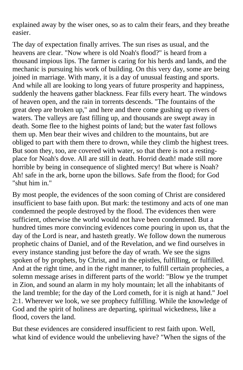explained away by the wiser ones, so as to calm their fears, and they breathe easier.

The day of expectation finally arrives. The sun rises as usual, and the heavens are clear. "Now where is old Noah's flood?" is heard from a thousand impious lips. The farmer is caring for his herds and lands, and the mechanic is pursuing his work of building. On this very day, some are being joined in marriage. With many, it is a day of unusual feasting and sports. And while all are looking to long years of future prosperity and happiness, suddenly the heavens gather blackness. Fear fills every heart. The windows of heaven open, and the rain in torrents descends. "The fountains of the great deep are broken up," and here and there come gushing up rivers of waters. The valleys are fast filling up, and thousands are swept away in death. Some flee to the highest points of land; but the water fast follows them up. Men bear their wives and children to the mountains, but are obliged to part with them there to drown, while they climb the highest trees. But soon they, too, are covered with water, so that there is not a restingplace for Noah's dove. All are still in death. Horrid death! made still more horrible by being in consequence of slighted mercy! But where is Noah? Ah! safe in the ark, borne upon the billows. Safe from the flood; for God "shut him in."

By most people, the evidences of the soon coming of Christ are considered insufficient to base faith upon. But mark: the testimony and acts of one man condemned the people destroyed by the flood. The evidences then were sufficient, otherwise the world would not have been condemned. But a hundred times more convincing evidences come pouring in upon us, that the day of the Lord is near, and hasteth greatly. We follow down the numerous prophetic chains of Daniel, and of the Revelation, and we find ourselves in every instance standing just before the day of wrath. We see the signs spoken of by prophets, by Christ, and in the epistles, fulfilling, or fulfilled. And at the right time, and in the right manner, to fulfill certain prophecies, a solemn message arises in different parts of the world: "Blow ye the trumpet in Zion, and sound an alarm in my holy mountain; let all the inhabitants of the land tremble; for the day of the Lord cometh, for it is nigh at hand." Joel 2:1. Wherever we look, we see prophecy fulfilling. While the knowledge of God and the spirit of holiness are departing, spiritual wickedness, like a flood, covers the land.

But these evidences are considered insufficient to rest faith upon. Well, what kind of evidence would the unbelieving have? "When the signs of the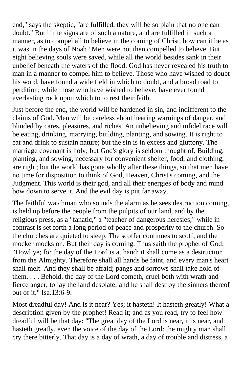end," says the skeptic, "are fulfilled, they will be so plain that no one can doubt." But if the signs are of such a nature, and are fulfilled in such a manner, as to compel all to believe in the coming of Christ, how can it be as it was in the days of Noah? Men were not then compelled to believe. But eight believing souls were saved, while all the world besides sank in their unbelief beneath the waters of the flood. God has never revealed his truth to man in a manner to compel him to believe. Those who have wished to doubt his word, have found a wide field in which to doubt, and a broad road to perdition; while those who have wished to believe, have ever found everlasting rock upon which to to rest their faith.

Just before the end, the world will be hardened in sin, and indifferent to the claims of God. Men will be careless about hearing warnings of danger, and blinded by cares, pleasures, and riches. An unbelieving and infidel race will be eating, drinking, marrying, building, planting, and sowing. It is right to eat and drink to sustain nature; but the sin is in excess and gluttony. The marriage covenant is holy; but God's glory is seldom thought of. Building, planting, and sowing, necessary for convenient shelter, food, and clothing, are right; but the world has gone wholly after these things, so that men have no time for disposition to think of God, Heaven, Christ's coming, and the Judgment. This world is their god, and all their energies of body and mind bow down to serve it. And the evil day is put far away.

The faithful watchman who sounds the alarm as he sees destruction coming, is held up before the people from the pulpits of our land, and by the religious press, as a "fanatic," a "teacher of dangerous heresies;" while in contrast is set forth a long period of peace and prosperity to the church. So the churches are quieted to sleep. The scoffer continues to scoff, and the mocker mocks on. But their day is coming. Thus saith the prophet of God: "Howl ye; for the day of the Lord is at hand; it shall come as a destruction from the Almighty. Therefore shall all hands be faint, and every man's heart shall melt. And they shall be afraid; pangs and sorrows shall take hold of them. . . . Behold, the day of the Lord cometh, cruel both with wrath and fierce anger, to lay the land desolate; and he shall destroy the sinners thereof out of it." Isa.13:6-9.

Most dreadful day! And is it near? Yes; it hasteth! It hasteth greatly! What a description given by the prophet! Read it; and as you read, try to feel how dreadful will be that day: "The great day of the Lord is near, it is near, and hasteth greatly, even the voice of the day of the Lord: the mighty man shall cry there bitterly. That day is a day of wrath, a day of trouble and distress, a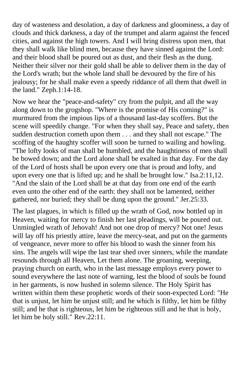day of wasteness and desolation, a day of darkness and gloominess, a day of clouds and thick darkness, a day of the trumpet and alarm against the fenced cities, and against the high towers. And I will bring distress upon men, that they shall walk like blind men, because they have sinned against the Lord: and their blood shall be poured out as dust, and their flesh as the dung. Neither their silver nor their gold shall be able to deliver them in the day of the Lord's wrath; but the whole land shall be devoured by the fire of his jealousy; for he shall make even a speedy riddance of all them that dwell in the land." Zeph.1:14-18.

Now we hear the "peace-and-safety" cry from the pulpit, and all the way along down to the grogshop. "Where is the promise of His coming?" is murmured from the impious lips of a thousand last-day scoffers. But the scene will speedily change. "For when they shall say, Peace and safety, then sudden destruction cometh upon them . . . and they shall not escape." The scoffing of the haughty scoffer will soon be turned to wailing and howling. "The lofty looks of man shall be humbled, and the haughtiness of men shall be bowed down; and the Lord alone shall be exalted in that day. For the day of the Lord of hosts shall be upon every one that is proud and lofty, and upon every one that is lifted up; and he shall be brought low." Isa.2:11,12. "And the slain of the Lord shall be at that day from one end of the earth even unto the other end of the earth: they shall not be lamented, neither gathered, nor buried; they shall be dung upon the ground." Jer.25:33.

The last plagues, in which is filled up the wrath of God, now bottled up in Heaven, waiting for mercy to finish her last pleadings, will be poured out. Unmingled wrath of Jehovah! And not one drop of mercy? Not one! Jesus will lay off his priestly attire, leave the mercy-seat, and put on the garments of vengeance, never more to offer his blood to wash the sinner from his sins. The angels will wipe the last tear shed over sinners, while the mandate resounds through all Heaven, Let them alone. The groaning, weeping, praying church on earth, who in the last message employs every power to sound everywhere the last note of warning, lest the blood of souls be found in her garments, is now hushed in solemn silence. The Holy Spirit has written within them these prophetic words of their soon-expected Lord: "He that is unjust, let him be unjust still; and he which is filthy, let him be filthy still; and he that is righteous, let him be righteous still and he that is holy, let him be holy still." Rev.22:11.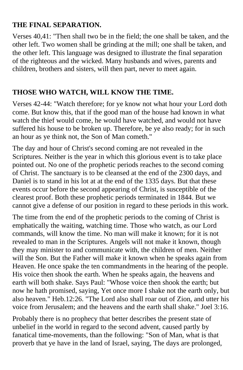#### **THE FINAL SEPARATION.**

Verses 40,41: "Then shall two be in the field; the one shall be taken, and the other left. Two women shall be grinding at the mill; one shall be taken, and the other left. This language was designed to illustrate the final separation of the righteous and the wicked. Many husbands and wives, parents and children, brothers and sisters, will then part, never to meet again.

#### **THOSE WHO WATCH, WILL KNOW THE TIME.**

Verses 42-44: "Watch therefore; for ye know not what hour your Lord doth come. But know this, that if the good man of the house had known in what watch the thief would come, he would have watched, and would not have suffered his house to be broken up. Therefore, be ye also ready; for in such an hour as ye think not, the Son of Man cometh."

The day and hour of Christ's second coming are not revealed in the Scriptures. Neither is the year in which this glorious event is to take place pointed out. No one of the prophetic periods reaches to the second coming of Christ. The sanctuary is to be cleansed at the end of the 2300 days, and Daniel is to stand in his lot at at the end of the 1335 days. But that these events occur before the second appearing of Christ, is susceptible of the clearest proof. Both these prophetic periods terminated in 1844. But we cannot give a defense of our position in regard to these periods in this work.

The time from the end of the prophetic periods to the coming of Christ is emphatically the waiting, watching time. Those who watch, as our Lord commands, will know the time. No man will make it known; for it is not revealed to man in the Scriptures. Angels will not make it known, though they may minister to and communicate with, the children of men. Neither will the Son. But the Father will make it known when he speaks again from Heaven. He once spake the ten commandments in the hearing of the people. His voice then shook the earth. When he speaks again, the heavens and earth will both shake. Says Paul: "Whose voice then shook the earth; but now he hath promised, saying, Yet once more I shake not the earth only, but also heaven." Heb.12:26. "The Lord also shall roar out of Zion, and utter his voice from Jerusalem; and the heavens and the earth shall shake." Joel 3:16.

Probably there is no prophecy that better describes the present state of unbelief in the world in regard to the second advent, caused partly by fanatical time-movements, than the following: "Son of Man, what is that proverb that ye have in the land of Israel, saying, The days are prolonged,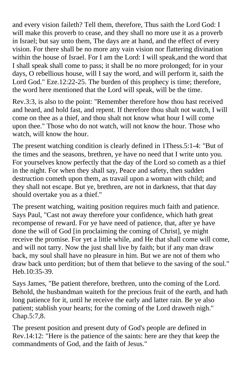and every vision faileth? Tell them, therefore, Thus saith the Lord God: I will make this proverb to cease, and they shall no more use it as a proverb in Israel; but say unto them, The days are at hand, and the effect of every vision. For there shall be no more any vain vision nor flattering divination within the house of Israel. For I am the Lord: I will speak,and the word that I shall speak shall come to pass; it shall be no more prolonged; for in your days, O rebellious house, will I say the word, and will perform it, saith the Lord God." Eze.12:22-25. The burden of this prophecy is time; therefore, the word here mentioned that the Lord will speak, will be the time.

Rev.3:3, is also to the point: "Remember therefore how thou hast received and heard, and hold fast, and repent. If therefore thou shalt not watch, I will come on thee as a thief, and thou shalt not know what hour I will come upon thee." Those who do not watch, will not know the hour. Those who watch, will know the hour.

The present watching condition is clearly defined in 1Thess.5:1-4: "But of the times and the seasons, brethren, ye have no need that I write unto you. For yourselves know perfectly that the day of the Lord so cometh as a thief in the night. For when they shall say, Peace and safety, then sudden destruction cometh upon them, as travail upon a woman with child; and they shall not escape. But ye, brethren, are not in darkness, that that day should overtake you as a thief."

The present watching, waiting position requires much faith and patience. Says Paul, "Cast not away therefore your confidence, which hath great recompense of reward. For ye have need of patience, that, after ye have done the will of God [in proclaiming the coming of Christ], ye might receive the promise. For yet a little while, and He that shall come will come, and will not tarry. Now the just shall live by faith; but if any man draw back, my soul shall have no pleasure in him. But we are not of them who draw back unto perdition; but of them that believe to the saving of the soul." Heb.10:35-39.

Says James, "Be patient therefore, brethren, unto the coming of the Lord. Behold, the husbandman waiteth for the precious fruit of the earth, and hath long patience for it, until he receive the early and latter rain. Be ye also patient; stablish your hearts; for the coming of the Lord draweth nigh." Chap.5:7,8.

The present position and present duty of God's people are defined in Rev.14:12: "Here is the patience of the saints: here are they that keep the commandments of God, and the faith of Jesus."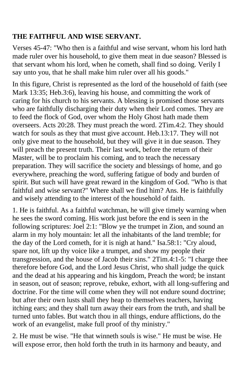## **THE FAITHFUL AND WISE SERVANT.**

Verses 45-47: "Who then is a faithful and wise servant, whom his lord hath made ruler over his household, to give them meat in due season? Blessed is that servant whom his lord, when he cometh, shall find so doing. Verily I say unto you, that he shall make him ruler over all his goods."

In this figure, Christ is represented as the lord of the household of faith (see Mark 13:35; Heb.3:6), leaving his house, and committing the work of caring for his church to his servants. A blessing is promised those servants who are faithfully discharging their duty when their Lord comes. They are to feed the flock of God, over whom the Holy Ghost hath made them overseers. Acts 20:28. They must preach the word. 2Tim.4:2. They should watch for souls as they that must give account. Heb.13:17. They will not only give meat to the household, but they will give it in due season. They will preach the present truth. Their last work, before the return of their Master, will be to proclaim his coming, and to teach the necessary preparation. They will sacrifice the society and blessings of home, and go everywhere, preaching the word, suffering fatigue of body and burden of spirit. But such will have great reward in the kingdom of God. "Who is that faithful and wise servant?" Where shall we find him? Ans. He is faithfully and wisely attending to the interest of the household of faith.

1. He is faithful. As a faithful watchman, he will give timely warning when he sees the sword coming. His work just before the end is seen in the following scriptures: Joel 2:1: "Blow ye the trumpet in Zion, and sound an alarm in my holy mountain: let all the inhabitants of the land tremble; for the day of the Lord cometh, for it is nigh at hand." Isa.58:1: "Cry aloud, spare not, lift up thy voice like a trumpet, and show my people their transgression, and the house of Jacob their sins." 2Tim.4:1-5: "I charge thee therefore before God, and the Lord Jesus Christ, who shall judge the quick and the dead at his appearing and his kingdom, Preach the word; be instant in season, out of season; reprove, rebuke, exhort, with all long-suffering and doctrine. For the time will come when they will not endure sound doctrine; but after their own lusts shall they heap to themselves teachers, having itching ears; and they shall turn away their ears from the truth, and shall be turned unto fables. But watch thou in all things, endure afflictions, do the work of an evangelist, make full proof of thy ministry."

2. He must be wise. "He that winneth souls is wise." He must be wise. He will expose error, then hold forth the truth in its harmony and beauty, and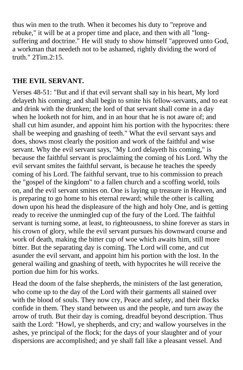thus win men to the truth. When it becomes his duty to "reprove and rebuke," it will be at a proper time and place, and then with all "longsuffering and doctrine." He will study to show himself "approved unto God, a workman that needeth not to be ashamed, rightly dividing the word of truth." 2Tim.2:15.

#### **THE EVIL SERVANT.**

Verses 48-51: "But and if that evil servant shall say in his heart, My lord delayeth his coming; and shall begin to smite his fellow-servants, and to eat and drink with the drunken; the lord of that servant shall come in a day when he looketh not for him, and in an hour that he is not aware of; and shall cut him asunder, and appoint him his portion with the hypocrites: there shall be weeping and gnashing of teeth." What the evil servant says and does, shows most clearly the position and work of the faithful and wise servant. Why the evil servant says, "My Lord delayeth his coming," is because the faithful servant is proclaiming the coming of his Lord. Why the evil servant smites the faithful servant, is because he teaches the speedy coming of his Lord. The faithful servant, true to his commission to preach the "gospel of the kingdom" to a fallen church and a scoffing world, toils on, and the evil servant smites on. One is laying up treasure in Heaven, and is preparing to go home to his eternal reward; while the other is calling down upon his head the displeasure of the high and holy One, and is getting ready to receive the unmingled cup of the fury of the Lord. The faithful servant is turning some, at least, to righteousness, to shine forever as stars in his crown of glory, while the evil servant pursues his downward course and work of death, making the bitter cup of woe which awaits him, still more bitter. But the separating day is coming. The Lord will come, and cut asunder the evil servant, and appoint him his portion with the lost. In the general wailing and gnashing of teeth, with hypocrites he will receive the portion due him for his works.

Head the doom of the false shepherds, the ministers of the last generation, who come up to the day of the Lord with their garments all stained over with the blood of souls. They now cry, Peace and safety, and their flocks confide in them. They stand between us and the people, and turn away the arrow of truth. But their day is coming, dreadful beyond description. Thus saith the Lord: "Howl, ye shepherds, and cry; and wallow yourselves in the ashes, ye principal of the flock; for the days of your slaughter and of your dispersions are accomplished; and ye shall fall like a pleasant vessel. And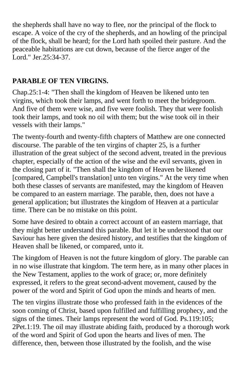the shepherds shall have no way to flee, nor the principal of the flock to escape. A voice of the cry of the shepherds, and an howling of the principal of the flock, shall be heard; for the Lord hath spoiled their pasture. And the peaceable habitations are cut down, because of the fierce anger of the Lord." Jer.25:34-37.

## **PARABLE OF TEN VIRGINS.**

Chap.25:1-4: "Then shall the kingdom of Heaven be likened unto ten virgins, which took their lamps, and went forth to meet the bridegroom. And five of them were wise, and five were foolish. They that were foolish took their lamps, and took no oil with them; but the wise took oil in their vessels with their lamps."

The twenty-fourth and twenty-fifth chapters of Matthew are one connected discourse. The parable of the ten virgins of chapter 25, is a further illustration of the great subject of the second advent, treated in the previous chapter, especially of the action of the wise and the evil servants, given in the closing part of it. "Then shall the kingdom of Heaven be likened [compared, Campbell's translation] unto ten virgins." At the very time when both these classes of servants are manifested, may the kingdom of Heaven be compared to an eastern marriage. The parable, then, does not have a general application; but illustrates the kingdom of Heaven at a particular time. There can be no mistake on this point.

Some have desired to obtain a correct account of an eastern marriage, that they might better understand this parable. But let it be understood that our Saviour has here given the desired history, and testifies that the kingdom of Heaven shall be likened, or compared, unto it.

The kingdom of Heaven is not the future kingdom of glory. The parable can in no wise illustrate that kingdom. The term here, as in many other places in the New Testament, applies to the work of grace; or, more definitely expressed, it refers to the great second-advent movement, caused by the power of the word and Spirit of God upon the minds and hearts of men.

The ten virgins illustrate those who professed faith in the evidences of the soon coming of Christ, based upon fulfilled and fulfilling prophecy, and the signs of the times. Their lamps represent the word of God. Ps.119:105; 2Pet.1:19. The oil may illustrate abiding faith, produced by a thorough work of the word and Spirit of God upon the hearts and lives of men. The difference, then, between those illustrated by the foolish, and the wise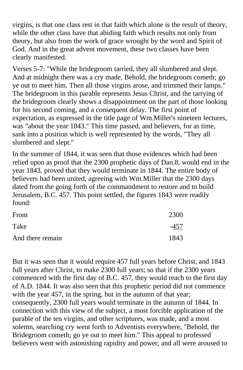virgins, is that one class rest in that faith which alone is the result of theory, while the other class have that abiding faith which results not only from theory, but also from the work of grace wrought by the word and Spirit of God. And in the great advent movement, these two classes have been clearly manifested.

Verses 5-7: "While the bridegroom tarried, they all slumbered and slept. And at midnight there was a cry made, Behold, the bridegroom cometh; go ye out to meet him. Then all those virgins arose, and trimmed their lamps." The bridegroom in this parable represents Jesus Christ, and the tarrying of the bridegroom clearly shows a disappointment on the part of those looking for his second coming, and a consequent delay. The first point of expectation, as expressed in the title page of Wm.Miller's nineteen lectures, was "about the year 1843." This time passed, and believers, for as time, sank into a position which is well represented by the words, "They all slumbered and slept."

In the summer of 1844, it was seen that those evidences which had been relied upon as proof that the 2300 prophetic days of Dan.8, would end in the year 1843, proved that they would terminate in 1844. The entire body of believers had been united, agreeing with Wm.Miller that the 2300 days dated from the going forth of the commandment to restore and to build Jerusalem, B.C. 457. This point settled, the figures 1843 were readily found:

| From             | 2300 |
|------------------|------|
| Take             | -457 |
| And there remain | 1843 |

But it was seen that it would require 457 full years before Christ, and 1843 full years after Christ, to make 2300 full years; so that if the 2300 years commenced with the first day of B.C. 457, they would reach to the first day of A.D. 1844. It was also seen that this prophetic period did not commence with the year 457, in the spring, but in the autumn of that year; consequently, 2300 full years would terminate in the autumn of 1844. In connection with this view of the subject, a most forcible application of the parable of the ten virgins, and other scriptures, was made, and a most solemn, searching cry went forth to Adventists everywhere, "Behold, the Bridegroom cometh; go ye out to meet him." This appeal to professed believers went with astonishing rapidity and power, and all were aroused to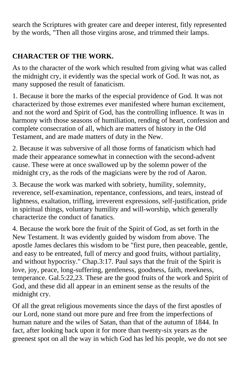search the Scriptures with greater care and deeper interest, fitly represented by the words, "Then all those virgins arose, and trimmed their lamps.

## **CHARACTER OF THE WORK.**

As to the character of the work which resulted from giving what was called the midnight cry, it evidently was the special work of God. It was not, as many supposed the result of fanaticism.

1. Because it bore the marks of the especial providence of God. It was not characterized by those extremes ever manifested where human excitement, and not the word and Spirit of God, has the controlling influence. It was in harmony with those seasons of humiliation, rending of heart, confession and complete consecration of all, which are matters of history in the Old Testament, and are made matters of duty in the New.

2. Because it was subversive of all those forms of fanaticism which had made their appearance somewhat in connection with the second-advent cause. These were at once swallowed up by the solemn power of the midnight cry, as the rods of the magicians were by the rod of Aaron.

3. Because the work was marked with sobriety, humility, solemnity, reverence, self-examination, repentance, confessions, and tears, instead of lightness, exaltation, trifling, irreverent expressions, self-justification, pride in spiritual things, voluntary humility and will-worship, which generally characterize the conduct of fanatics.

4. Because the work bore the fruit of the Spirit of God, as set forth in the New Testament. It was evidently guided by wisdom from above. The apostle James declares this wisdom to be "first pure, then peaceable, gentle, and easy to be entreated, full of mercy and good fruits, without partiality, and without hypocrisy." Chap.3:17. Paul says that the fruit of the Spirit is love, joy, peace, long-suffering, gentleness, goodness, faith, meekness, temperance. Gal.5:22,23. These are the good fruits of the work and Spirit of God, and these did all appear in an eminent sense as the results of the midnight cry.

Of all the great religious movements since the days of the first apostles of our Lord, none stand out more pure and free from the imperfections of human nature and the wiles of Satan, than that of the autumn of 1844. In fact, after looking back upon it for more than twenty-six years as the greenest spot on all the way in which God has led his people, we do not see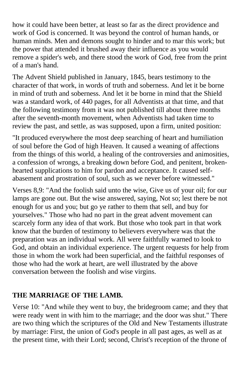how it could have been better, at least so far as the direct providence and work of God is concerned. It was beyond the control of human hands, or human minds. Men and demons sought to hinder and to mar this work; but the power that attended it brushed away their influence as you would remove a spider's web, and there stood the work of God, free from the print of a man's hand.

The Advent Shield published in January, 1845, bears testimony to the character of that work, in words of truth and soberness. And let it be borne in mind of truth and soberness. And let it be borne in mind that the Shield was a standard work, of 440 pages, for all Adventists at that time, and that the following testimony from it was not published till about three months after the seventh-month movement, when Adventists had taken time to review the past, and settle, as was supposed, upon a firm, united position:

"It produced everywhere the most deep searching of heart and humiliation of soul before the God of high Heaven. It caused a weaning of affections from the things of this world, a healing of the controversies and animosities, a confession of wrongs, a breaking down before God, and penitent, brokenhearted supplications to him for pardon and acceptance. It caused selfabasement and prostration of soul, such as we never before witnessed."

Verses 8,9: "And the foolish said unto the wise, Give us of your oil; for our lamps are gone out. But the wise answered, saying, Not so; lest there be not enough for us and you; but go ye rather to them that sell, and buy for yourselves." Those who had no part in the great advent movement can scarcely form any idea of that work. But those who took part in that work know that the burden of testimony to believers everywhere was that the preparation was an individual work. All were faithfully warned to look to God, and obtain an individual experience. The urgent requests for help from those in whom the work had been superficial, and the faithful responses of those who had the work at heart, are well illustrated by the above conversation between the foolish and wise virgins.

#### **THE MARRIAGE OF THE LAMB.**

Verse 10: "And while they went to buy, the bridegroom came; and they that were ready went in with him to the marriage; and the door was shut." There are two thing which the scriptures of the Old and New Testaments illustrate by marriage: First, the union of God's people in all past ages, as well as at the present time, with their Lord; second, Christ's reception of the throne of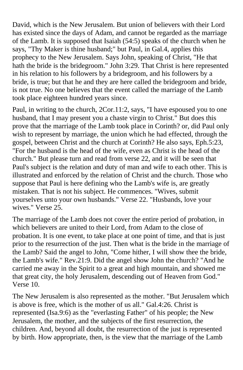David, which is the New Jerusalem. But union of believers with their Lord has existed since the days of Adam, and cannot be regarded as the marriage of the Lamb. It is supposed that Isaiah (54:5) speaks of the church when he says, "Thy Maker is thine husband;" but Paul, in Gal.4, applies this prophecy to the New Jerusalem. Says John, speaking of Christ, "He that hath the bride is the bridegroom." John 3:29. That Christ is here represented in his relation to his followers by a bridegroom, and his followers by a bride, is true; but that he and they are here called the bridegroom and bride, is not true. No one believes that the event called the marriage of the Lamb took place eighteen hundred years since.

Paul, in writing to the church, 2Cor.11:2, says, "I have espoused you to one husband, that I may present you a chaste virgin to Christ." But does this prove that the marriage of the Lamb took place in Corinth? or, did Paul only wish to represent by marriage, the union which he had effected, through the gospel, between Christ and the church at Corinth? He also says, Eph.5:23, "For the husband is the head of the wife, even as Christ is the head of the church." But please turn and read from verse 22, and it will be seen that Paul's subject is the relation and duty of man and wife to each other. This is illustrated and enforced by the relation of Christ and the church. Those who suppose that Paul is here defining who the Lamb's wife is, are greatly mistaken. That is not his subject. He commences. "Wives, submit yourselves unto your own husbands." Verse 22. "Husbands, love your wives." Verse 25.

The marriage of the Lamb does not cover the entire period of probation, in which believers are united to their Lord, from Adam to the close of probation. It is one event, to take place at one point of time, and that is just prior to the resurrection of the just. Then what is the bride in the marriage of the Lamb? Said the angel to John, "Come hither, I will show thee the bride, the Lamb's wife." Rev.21:9. Did the angel show John the church? "And he carried me away in the Spirit to a great and high mountain, and showed me that great city, the holy Jerusalem, descending out of Heaven from God." Verse 10.

The New Jerusalem is also represented as the mother. "But Jerusalem which is above is free, which is the mother of us all." Gal.4:26. Christ is represented (Isa.9:6) as the "everlasting Father" of his people; the New Jerusalem, the mother, and the subjects of the first resurrection, the children. And, beyond all doubt, the resurrection of the just is represented by birth. How appropriate, then, is the view that the marriage of the Lamb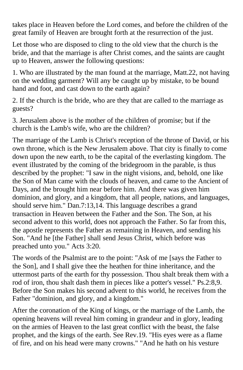takes place in Heaven before the Lord comes, and before the children of the great family of Heaven are brought forth at the resurrection of the just.

Let those who are disposed to cling to the old view that the church is the bride, and that the marriage is after Christ comes, and the saints are caught up to Heaven, answer the following questions:

1. Who are illustrated by the man found at the marriage, Matt.22, not having on the wedding garment? Will any be caught up by mistake, to be bound hand and foot, and cast down to the earth again?

2. If the church is the bride, who are they that are called to the marriage as guests?

3. Jerusalem above is the mother of the children of promise; but if the church is the Lamb's wife, who are the children?

The marriage of the Lamb is Christ's reception of the throne of David, or his own throne, which is the New Jerusalem above. That city is finally to come down upon the new earth, to be the capital of the everlasting kingdom. The event illustrated by the coming of the bridegroom in the parable, is thus described by the prophet: "I saw in the night visions, and, behold, one like the Son of Man came with the clouds of heaven, and came to the Ancient of Days, and the brought him near before him. And there was given him dominion, and glory, and a kingdom, that all people, nations, and languages, should serve him." Dan.7:13,14. This language describes a grand transaction in Heaven between the Father and the Son. The Son, at his second advent to this world, does not approach the Father. So far from this, the apostle represents the Father as remaining in Heaven, and sending his Son. "And he [the Father] shall send Jesus Christ, which before was preached unto you." Acts 3:20.

The words of the Psalmist are to the point: "Ask of me [says the Father to the Son], and I shall give thee the heathen for thine inheritance, and the uttermost parts of the earth for thy possession. Thou shalt break them with a rod of iron, thou shalt dash them in pieces like a potter's vessel." Ps.2:8,9. Before the Son makes his second advent to this world, he receives from the Father "dominion, and glory, and a kingdom."

After the coronation of the King of kings, or the marriage of the Lamb, the opening heavens will reveal him coming in grandeur and in glory, leading on the armies of Heaven to the last great conflict with the beast, the false prophet, and the kings of the earth. See Rev.19. "His eyes were as a flame of fire, and on his head were many crowns." "And he hath on his vesture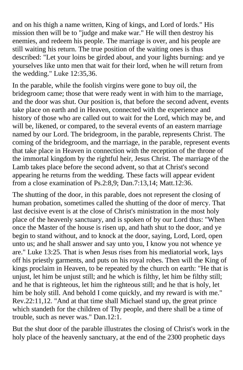and on his thigh a name written, King of kings, and Lord of lords." His mission then will be to "judge and make war." He will then destroy his enemies, and redeem his people. The marriage is over, and his people are still waiting his return. The true position of the waiting ones is thus described: "Let your loins be girded about, and your lights burning: and ye yourselves like unto men that wait for their lord, when he will return from the wedding." Luke 12:35,36.

In the parable, while the foolish virgins were gone to buy oil, the bridegroom came; those that were ready went in with him to the marriage, and the door was shut. Our position is, that before the second advent, events take place on earth and in Heaven, connected with the experience and history of those who are called out to wait for the Lord, which may be, and will be, likened, or compared, to the several events of an eastern marriage named by our Lord. The bridegroom, in the parable, represents Christ. The coming of the bridegroom, and the marriage, in the parable, represent events that take place in Heaven in connection with the reception of the throne of the immortal kingdom by the rightful heir, Jesus Christ. The marriage of the Lamb takes place before the second advent, so that at Christ's second appearing he returns from the wedding. These facts will appear evident from a close examination of Ps.2:8,9; Dan.7:13,14; Matt.12:36.

The shutting of the door, in this parable, does not represent the closing of human probation, sometimes called the shutting of the door of mercy. That last decisive event is at the close of Christ's ministration in the most holy place of the heavenly sanctuary, and is spoken of by our Lord thus: "When once the Master of the house is risen up, and hath shut to the door, and ye begin to stand without, and to knock at the door, saying, Lord, Lord, open unto us; and he shall answer and say unto you, I know you not whence ye are." Luke 13:25. That is when Jesus rises from his mediatorial work, lays off his priestly garments, and puts on his royal robes. Then will the King of kings proclaim in Heaven, to be repeated by the church on earth: "He that is unjust, let him be unjust still; and he which is filthy, let him be filthy still; and he that is righteous, let him the righteous still; and he that is holy, let him be holy still. And behold I come quickly, and my reward is with me." Rev.22:11,12. "And at that time shall Michael stand up, the great prince which standeth for the children of Thy people, and there shall be a time of trouble, such as never was." Dan.12:1.

But the shut door of the parable illustrates the closing of Christ's work in the holy place of the heavenly sanctuary, at the end of the 2300 prophetic days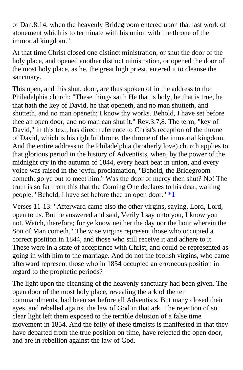of Dan.8:14, when the heavenly Bridegroom entered upon that last work of atonement which is to terminate with his union with the throne of the immortal kingdom."

At that time Christ closed one distinct ministration, or shut the door of the holy place, and opened another distinct ministration, or opened the door of the most holy place, as he, the great high priest, entered it to cleanse the sanctuary.

This open, and this shut, door, are thus spoken of in the address to the Philadelphia church: "These things saith He that is holy, he that is true, he that hath the key of David, he that openeth, and no man shutteth, and shutteth, and no man openeth; I know thy works. Behold, I have set before thee an open door, and no man can shut it." Rev.3:7,8. The term, "key of David," in this text, has direct reference to Christ's reception of the throne of David, which is his rightful throne, the throne of the immortal kingdom. And the entire address to the Philadelphia (brotherly love) church applies to that glorious period in the history of Adventists, when, by the power of the midnight cry in the autumn of 1844, every heart beat in union, and every voice was raised in the joyful proclamation, "Behold, the Bridegroom cometh; go ye out to meet him." Was the door of mercy then shut? No! The truth is so far from this that the Coming One declar[es to his d](#page-50-0)ear, waiting people, "Behold, I have set before thee an open door." **\*1** 

Verses 11-13: "Afterward came also the other virgins, saying, Lord, Lord, open to us. But he answered and said, Verily I say unto you, I know you not. Watch, therefore; for ye know neither the day nor the hour wherein the Son of Man cometh." The wise virgins represent those who occupied a correct position in 1844, and those who still receive it and adhere to it. These were in a state of acceptance with Christ, and could be represented as going in with him to the marriage. And do not the foolish virgins, who came afterward represent those who in 1854 occupied an erroneous position in regard to the prophetic periods?

The light upon the cleansing of the heavenly sanctuary had been given. The open door of the most holy place, revealing the ark of the ten commandments, had been set before all Adventists. But many closed their eyes, and rebelled against the law of God in that ark. The rejection of so clear light left them exposed to the terrible delusion of a false time movement in 1854. And the folly of these timeists is manifested in that they have departed from the true position on time, have rejected the open door, and are in rebellion against the law of God.